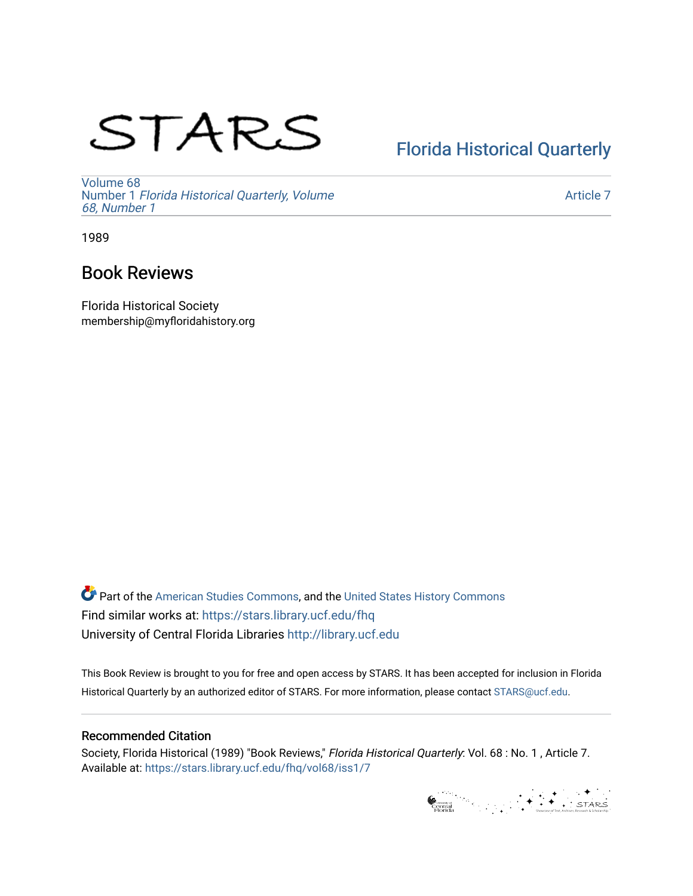# STARS

# [Florida Historical Quarterly](https://stars.library.ucf.edu/fhq)

[Volume 68](https://stars.library.ucf.edu/fhq/vol68) Number 1 [Florida Historical Quarterly, Volume](https://stars.library.ucf.edu/fhq/vol68/iss1)  [68, Number 1](https://stars.library.ucf.edu/fhq/vol68/iss1)

[Article 7](https://stars.library.ucf.edu/fhq/vol68/iss1/7) 

1989

# Book Reviews

Florida Historical Society membership@myfloridahistory.org

**C** Part of the [American Studies Commons](http://network.bepress.com/hgg/discipline/439?utm_source=stars.library.ucf.edu%2Ffhq%2Fvol68%2Fiss1%2F7&utm_medium=PDF&utm_campaign=PDFCoverPages), and the United States History Commons Find similar works at: <https://stars.library.ucf.edu/fhq> University of Central Florida Libraries [http://library.ucf.edu](http://library.ucf.edu/) 

This Book Review is brought to you for free and open access by STARS. It has been accepted for inclusion in Florida Historical Quarterly by an authorized editor of STARS. For more information, please contact [STARS@ucf.edu.](mailto:STARS@ucf.edu)

# Recommended Citation

Society, Florida Historical (1989) "Book Reviews," Florida Historical Quarterly: Vol. 68 : No. 1 , Article 7. Available at: [https://stars.library.ucf.edu/fhq/vol68/iss1/7](https://stars.library.ucf.edu/fhq/vol68/iss1/7?utm_source=stars.library.ucf.edu%2Ffhq%2Fvol68%2Fiss1%2F7&utm_medium=PDF&utm_campaign=PDFCoverPages) 

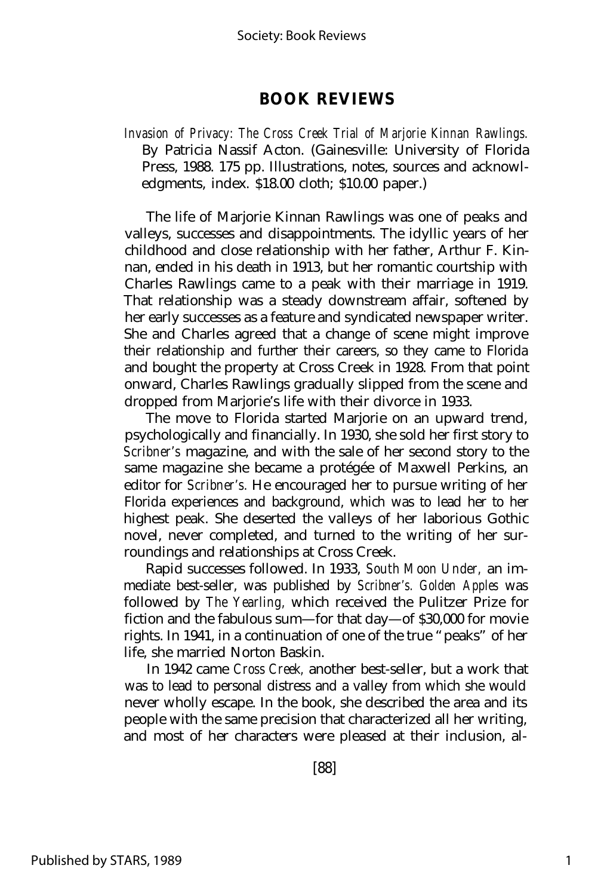*Invasion of Privacy: The Cross Creek Trial of Marjorie Kinnan Rawlings.* By Patricia Nassif Acton. (Gainesville: University of Florida Press, 1988. 175 pp. Illustrations, notes, sources and acknowledgments, index. \$18.00 cloth; \$10.00 paper.)

The life of Marjorie Kinnan Rawlings was one of peaks and valleys, successes and disappointments. The idyllic years of her childhood and close relationship with her father, Arthur F. Kinnan, ended in his death in 1913, but her romantic courtship with Charles Rawlings came to a peak with their marriage in 1919. That relationship was a steady downstream affair, softened by her early successes as a feature and syndicated newspaper writer. She and Charles agreed that a change of scene might improve their relationship and further their careers, so they came to Florida and bought the property at Cross Creek in 1928. From that point onward, Charles Rawlings gradually slipped from the scene and dropped from Marjorie's life with their divorce in 1933.

The move to Florida started Marjorie on an upward trend, psychologically and financially. In 1930, she sold her first story to *Scribner's* magazine, and with the sale of her second story to the same magazine she became a protégée of Maxwell Perkins, an editor for *Scribner's.* He encouraged her to pursue writing of her Florida experiences and background, which was to lead her to her highest peak. She deserted the valleys of her laborious Gothic novel, never completed, and turned to the writing of her surroundings and relationships at Cross Creek.

Rapid successes followed. In 1933, *South Moon Under,* an immediate best-seller, was published by *Scribner's. Golden Apples* was followed by *The Yearling,* which received the Pulitzer Prize for fiction and the fabulous sum— for that day— of \$30,000 for movie rights. In 1941, in a continuation of one of the true "peaks" of her life, she married Norton Baskin.

In 1942 came *Cross Creek,* another best-seller, but a work that was to lead to personal distress and a valley from which she would never wholly escape. In the book, she described the area and its people with the same precision that characterized all her writing, and most of her characters were pleased at their inclusion, al-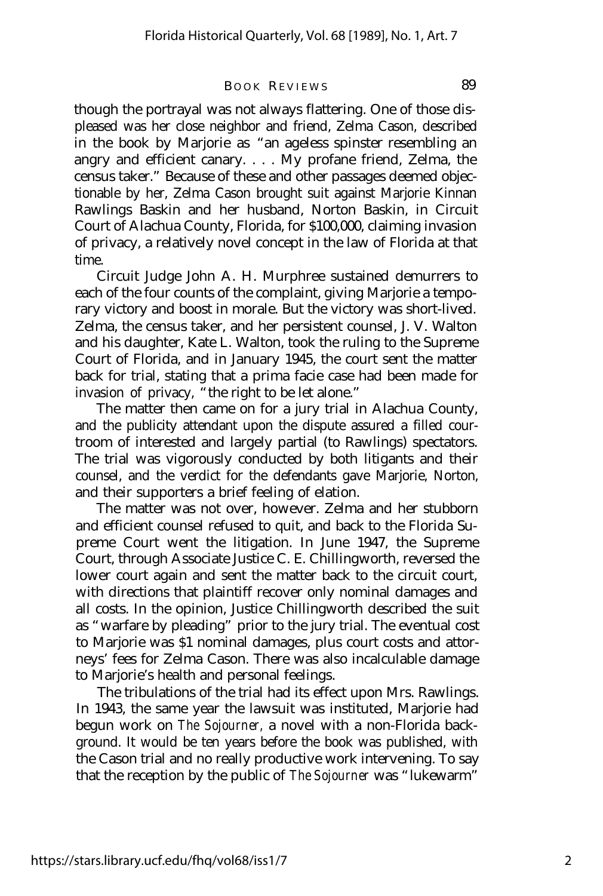though the portrayal was not always flattering. One of those displeased was her close neighbor and friend, Zelma Cason, described in the book by Marjorie as "an ageless spinster resembling an angry and efficient canary. . . . My profane friend, Zelma, the census taker." Because of these and other passages deemed objectionable by her, Zelma Cason brought suit against Marjorie Kinnan Rawlings Baskin and her husband, Norton Baskin, in Circuit Court of Alachua County, Florida, for \$100,000, claiming invasion of privacy, a relatively novel concept in the law of Florida at that time.

Circuit Judge John A. H. Murphree sustained demurrers to each of the four counts of the complaint, giving Marjorie a temporary victory and boost in morale. But the victory was short-lived. Zelma, the census taker, and her persistent counsel, J. V. Walton and his daughter, Kate L. Walton, took the ruling to the Supreme Court of Florida, and in January 1945, the court sent the matter back for trial, stating that a prima facie case had been made for invasion of privacy, "the right to be let alone."

The matter then came on for a jury trial in Alachua County, and the publicity attendant upon the dispute assured a filled courtroom of interested and largely partial (to Rawlings) spectators. The trial was vigorously conducted by both litigants and their counsel, and the verdict for the defendants gave Marjorie, Norton, and their supporters a brief feeling of elation.

The matter was not over, however. Zelma and her stubborn and efficient counsel refused to quit, and back to the Florida Supreme Court went the litigation. In June 1947, the Supreme Court, through Associate Justice C. E. Chillingworth, reversed the lower court again and sent the matter back to the circuit court, with directions that plaintiff recover only nominal damages and all costs. In the opinion, Justice Chillingworth described the suit as "warfare by pleading" prior to the jury trial. The eventual cost to Marjorie was \$1 nominal damages, plus court costs and attorneys' fees for Zelma Cason. There was also incalculable damage to Marjorie's health and personal feelings.

The tribulations of the trial had its effect upon Mrs. Rawlings. In 1943, the same year the lawsuit was instituted, Marjorie had begun work on *The Sojourner,* a novel with a non-Florida background. It would be ten years before the book was published, with the Cason trial and no really productive work intervening. To say that the reception by the public of *The Sojourner* was "lukewarm"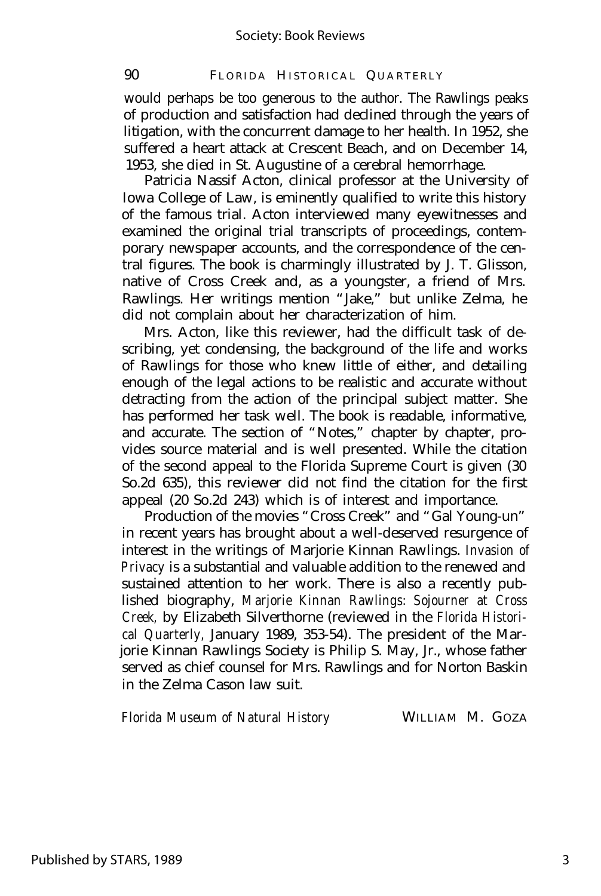would perhaps be too generous to the author. The Rawlings peaks of production and satisfaction had declined through the years of litigation, with the concurrent damage to her health. In 1952, she suffered a heart attack at Crescent Beach, and on December 14, 1953, she died in St. Augustine of a cerebral hemorrhage.

Patricia Nassif Acton, clinical professor at the University of Iowa College of Law, is eminently qualified to write this history of the famous trial. Acton interviewed many eyewitnesses and examined the original trial transcripts of proceedings, contemporary newspaper accounts, and the correspondence of the central figures. The book is charmingly illustrated by J. T. Glisson, native of Cross Creek and, as a youngster, a friend of Mrs. Rawlings. Her writings mention "Jake," but unlike Zelma, he did not complain about her characterization of him.

Mrs. Acton, like this reviewer, had the difficult task of describing, yet condensing, the background of the life and works of Rawlings for those who knew little of either, and detailing enough of the legal actions to be realistic and accurate without detracting from the action of the principal subject matter. She has performed her task well. The book is readable, informative, and accurate. The section of "Notes," chapter by chapter, provides source material and is well presented. While the citation of the second appeal to the Florida Supreme Court is given (30 So.2d 635), this reviewer did not find the citation for the first appeal (20 So.2d 243) which is of interest and importance.

Production of the movies "Cross Creek" and "Gal Young-un" in recent years has brought about a well-deserved resurgence of interest in the writings of Marjorie Kinnan Rawlings. *Invasion of Privacy* is a substantial and valuable addition to the renewed and sustained attention to her work. There is also a recently published biography, *Marjorie Kinnan Rawlings: Sojourner at Cross Creek,* by Elizabeth Silverthorne (reviewed in the *Florida Historical Quarterly,* January 1989, 353-54). The president of the Marjorie Kinnan Rawlings Society is Philip S. May, Jr., whose father served as chief counsel for Mrs. Rawlings and for Norton Baskin in the Zelma Cason law suit.

*Florida Museum of Natural History* WILLIAM M. GOZA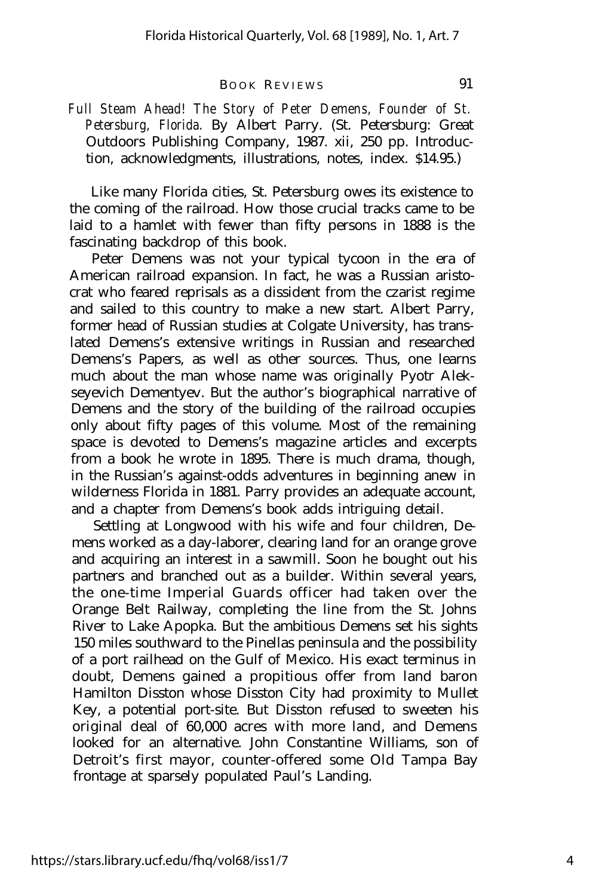*Full Steam Ahead! The Story of Peter Demens, Founder of St. Petersburg, Florida.* By Albert Parry. (St. Petersburg: Great Outdoors Publishing Company, 1987. xii, 250 pp. Introduction, acknowledgments, illustrations, notes, index. \$14.95.)

Like many Florida cities, St. Petersburg owes its existence to the coming of the railroad. How those crucial tracks came to be laid to a hamlet with fewer than fifty persons in 1888 is the fascinating backdrop of this book.

Peter Demens was not your typical tycoon in the era of American railroad expansion. In fact, he was a Russian aristocrat who feared reprisals as a dissident from the czarist regime and sailed to this country to make a new start. Albert Parry, former head of Russian studies at Colgate University, has translated Demens's extensive writings in Russian and researched Demens's Papers, as well as other sources. Thus, one learns much about the man whose name was originally Pyotr Alekseyevich Dementyev. But the author's biographical narrative of Demens and the story of the building of the railroad occupies only about fifty pages of this volume. Most of the remaining space is devoted to Demens's magazine articles and excerpts from a book he wrote in 1895. There is much drama, though, in the Russian's against-odds adventures in beginning anew in wilderness Florida in 1881. Parry provides an adequate account, and a chapter from Demens's book adds intriguing detail.

Settling at Longwood with his wife and four children, Demens worked as a day-laborer, clearing land for an orange grove and acquiring an interest in a sawmill. Soon he bought out his partners and branched out as a builder. Within several years, the one-time Imperial Guards officer had taken over the Orange Belt Railway, completing the line from the St. Johns River to Lake Apopka. But the ambitious Demens set his sights 150 miles southward to the Pinellas peninsula and the possibility of a port railhead on the Gulf of Mexico. His exact terminus in doubt, Demens gained a propitious offer from land baron Hamilton Disston whose Disston City had proximity to Mullet Key, a potential port-site. But Disston refused to sweeten his original deal of 60,000 acres with more land, and Demens looked for an alternative. John Constantine Williams, son of Detroit's first mayor, counter-offered some Old Tampa Bay frontage at sparsely populated Paul's Landing.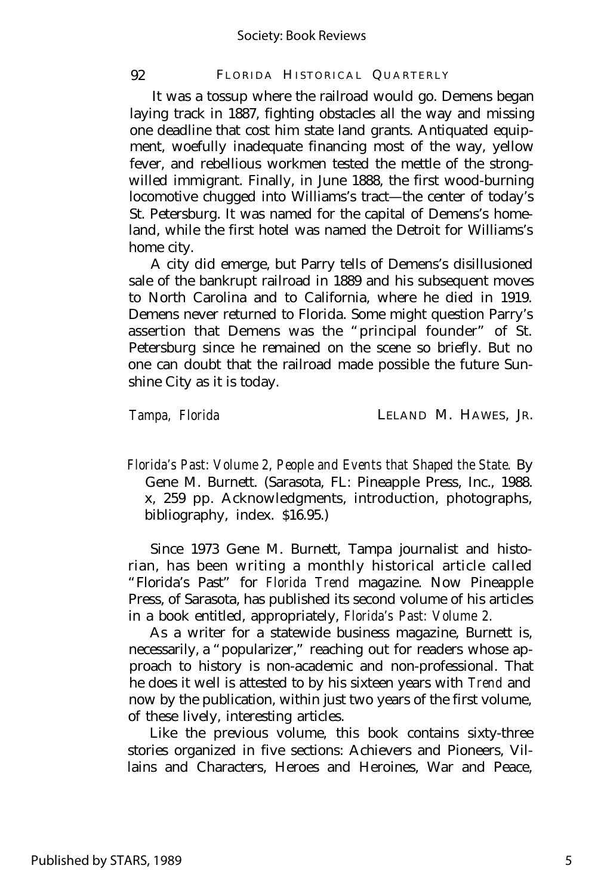It was a tossup where the railroad would go. Demens began laying track in 1887, fighting obstacles all the way and missing one deadline that cost him state land grants. Antiquated equipment, woefully inadequate financing most of the way, yellow fever, and rebellious workmen tested the mettle of the strongwilled immigrant. Finally, in June 1888, the first wood-burning locomotive chugged into Williams's tract— the center of today's St. Petersburg. It was named for the capital of Demens's homeland, while the first hotel was named the Detroit for Williams's home city.

A city did emerge, but Parry tells of Demens's disillusioned sale of the bankrupt railroad in 1889 and his subsequent moves to North Carolina and to California, where he died in 1919. Demens never returned to Florida. Some might question Parry's assertion that Demens was the "principal founder" of St. Petersburg since he remained on the scene so briefly. But no one can doubt that the railroad made possible the future Sunshine City as it is today.

#### *Tampa, Florida* LELAND M. HAWES, JR.

*Florida's Past: Volume 2, People and Events that Shaped the State.* By Gene M. Burnett. (Sarasota, FL: Pineapple Press, Inc., 1988. x, 259 pp. Acknowledgments, introduction, photographs, bibliography, index. \$16.95.)

Since 1973 Gene M. Burnett, Tampa journalist and historian, has been writing a monthly historical article called "Florida's Past" for *Florida Trend* magazine. Now Pineapple Press, of Sarasota, has published its second volume of his articles in a book entitled, appropriately, *Florida's Past: Volume 2.*

As a writer for a statewide business magazine, Burnett is, necessarily, a "popularizer," reaching out for readers whose approach to history is non-academic and non-professional. That he does it well is attested to by his sixteen years with *Trend* and now by the publication, within just two years of the first volume, of these lively, interesting articles.

Like the previous volume, this book contains sixty-three stories organized in five sections: Achievers and Pioneers, Villains and Characters, Heroes and Heroines, War and Peace,

Published by STARS, 1989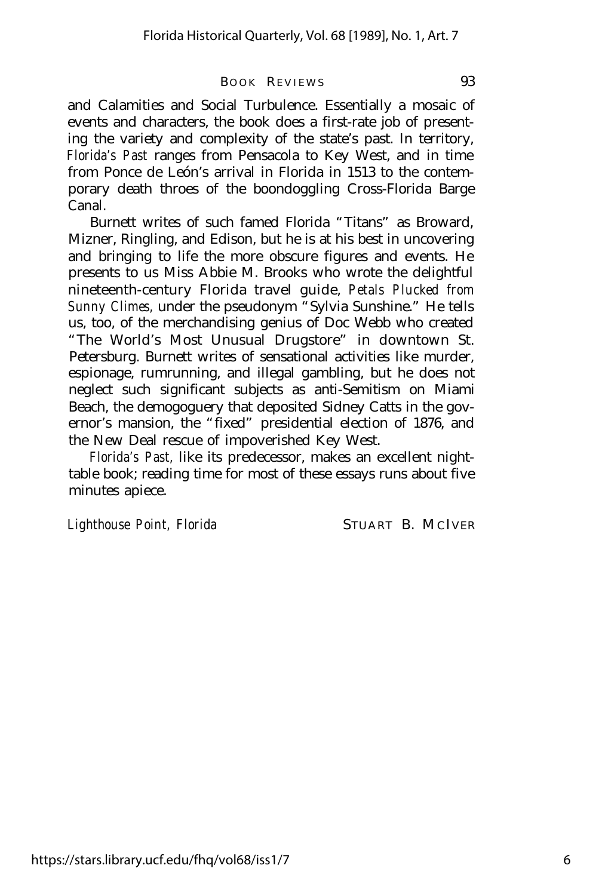and Calamities and Social Turbulence. Essentially a mosaic of events and characters, the book does a first-rate job of presenting the variety and complexity of the state's past. In territory, *Florida's Past* ranges from Pensacola to Key West, and in time from Ponce de León's arrival in Florida in 1513 to the contemporary death throes of the boondoggling Cross-Florida Barge Canal.

Burnett writes of such famed Florida "Titans" as Broward, Mizner, Ringling, and Edison, but he is at his best in uncovering and bringing to life the more obscure figures and events. He presents to us Miss Abbie M. Brooks who wrote the delightful nineteenth-century Florida travel guide, *Petals Plucked from Sunny Climes,* under the pseudonym "Sylvia Sunshine." He tells us, too, of the merchandising genius of Doc Webb who created "The World's Most Unusual Drugstore" in downtown St. Petersburg. Burnett writes of sensational activities like murder, espionage, rumrunning, and illegal gambling, but he does not neglect such significant subjects as anti-Semitism on Miami Beach, the demogoguery that deposited Sidney Catts in the governor's mansion, the "fixed" presidential election of 1876, and the New Deal rescue of impoverished Key West.

*Florida's Past,* like its predecessor, makes an excellent nighttable book; reading time for most of these essays runs about five minutes apiece.

*Lighthouse Point, Florida* STUART B. MCIVER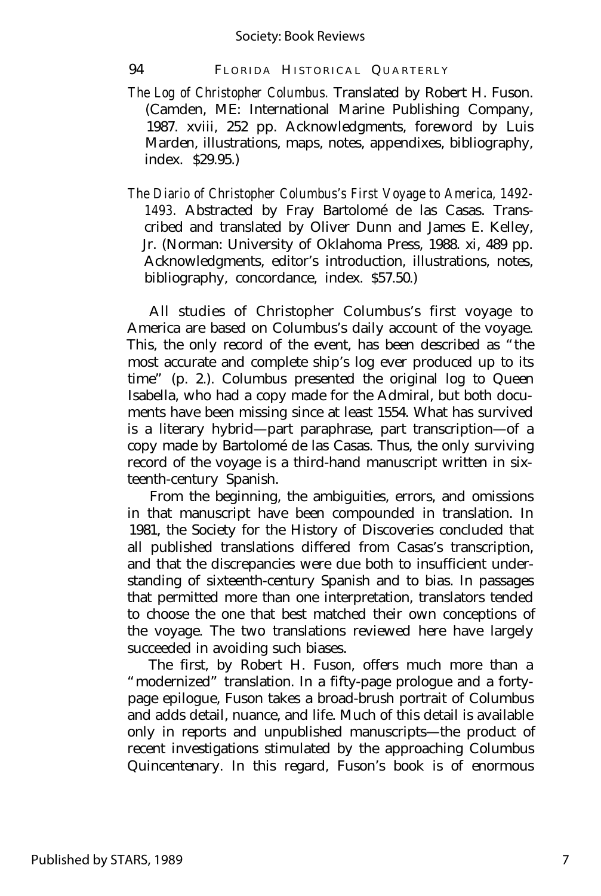- *The Log of Christopher Columbus.* Translated by Robert H. Fuson. (Camden, ME: International Marine Publishing Company, 1987. xviii, 252 pp. Acknowledgments, foreword by Luis Marden, illustrations, maps, notes, appendixes, bibliography, index. \$29.95.)
- *The Diario of Christopher Columbus's First Voyage to America, 1492- 1493.* Abstracted by Fray Bartolomé de las Casas. Transcribed and translated by Oliver Dunn and James E. Kelley, Jr. (Norman: University of Oklahoma Press, 1988. xi, 489 pp. Acknowledgments, editor's introduction, illustrations, notes, bibliography, concordance, index. \$57.50.)

All studies of Christopher Columbus's first voyage to America are based on Columbus's daily account of the voyage. This, the only record of the event, has been described as "the most accurate and complete ship's log ever produced up to its time" (p. 2.). Columbus presented the original log to Queen Isabella, who had a copy made for the Admiral, but both documents have been missing since at least 1554. What has survived is a literary hybrid— part paraphrase, part transcription— of a copy made by Bartolomé de las Casas. Thus, the only surviving record of the voyage is a third-hand manuscript written in sixteenth-century Spanish.

From the beginning, the ambiguities, errors, and omissions in that manuscript have been compounded in translation. In 1981, the Society for the History of Discoveries concluded that all published translations differed from Casas's transcription, and that the discrepancies were due both to insufficient understanding of sixteenth-century Spanish and to bias. In passages that permitted more than one interpretation, translators tended to choose the one that best matched their own conceptions of the voyage. The two translations reviewed here have largely succeeded in avoiding such biases.

The first, by Robert H. Fuson, offers much more than a "modernized" translation. In a fifty-page prologue and a fortypage epilogue, Fuson takes a broad-brush portrait of Columbus and adds detail, nuance, and life. Much of this detail is available only in reports and unpublished manuscripts— the product of recent investigations stimulated by the approaching Columbus Quincentenary. In this regard, Fuson's book is of enormous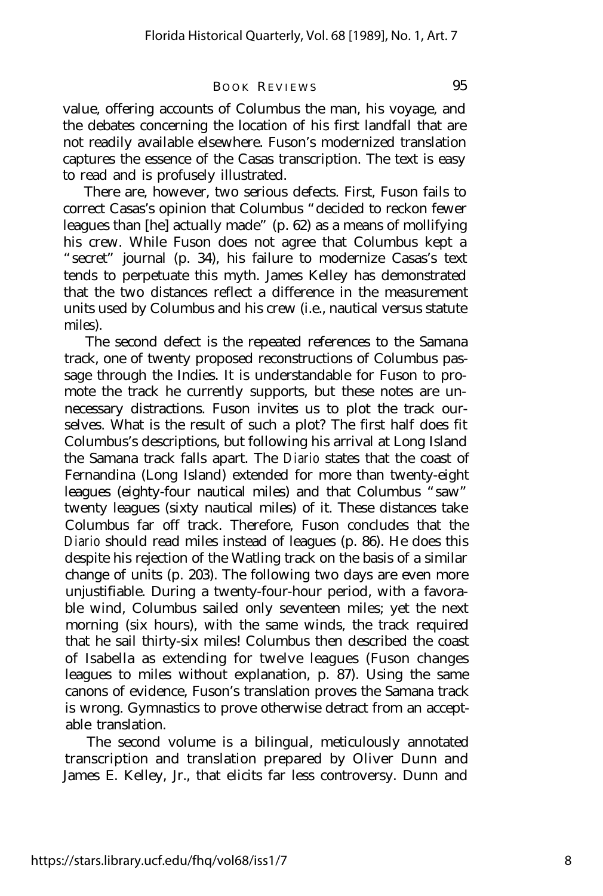value, offering accounts of Columbus the man, his voyage, and the debates concerning the location of his first landfall that are not readily available elsewhere. Fuson's modernized translation captures the essence of the Casas transcription. The text is easy to read and is profusely illustrated.

There are, however, two serious defects. First, Fuson fails to correct Casas's opinion that Columbus "decided to reckon fewer leagues than [he] actually made" (p. 62) as a means of mollifying his crew. While Fuson does not agree that Columbus kept a "secret" journal (p. 34), his failure to modernize Casas's text tends to perpetuate this myth. James Kelley has demonstrated that the two distances reflect a difference in the measurement units used by Columbus and his crew (i.e., nautical versus statute miles).

The second defect is the repeated references to the Samana track, one of twenty proposed reconstructions of Columbus passage through the Indies. It is understandable for Fuson to promote the track he currently supports, but these notes are unnecessary distractions. Fuson invites us to plot the track ourselves. What is the result of such a plot? The first half does fit Columbus's descriptions, but following his arrival at Long Island the Samana track falls apart. The *Diario* states that the coast of Fernandina (Long Island) extended for more than twenty-eight leagues (eighty-four nautical miles) and that Columbus "saw" twenty leagues (sixty nautical miles) of it. These distances take Columbus far off track. Therefore, Fuson concludes that the *Diario* should read miles instead of leagues (p. 86). He does this despite his rejection of the Watling track on the basis of a similar change of units (p. 203). The following two days are even more unjustifiable. During a twenty-four-hour period, with a favorable wind, Columbus sailed only seventeen miles; yet the next morning (six hours), with the same winds, the track required that he sail thirty-six miles! Columbus then described the coast of Isabella as extending for twelve leagues (Fuson changes leagues to miles without explanation, p. 87). Using the same canons of evidence, Fuson's translation proves the Samana track is wrong. Gymnastics to prove otherwise detract from an acceptable translation.

The second volume is a bilingual, meticulously annotated transcription and translation prepared by Oliver Dunn and James E. Kelley, Jr., that elicits far less controversy. Dunn and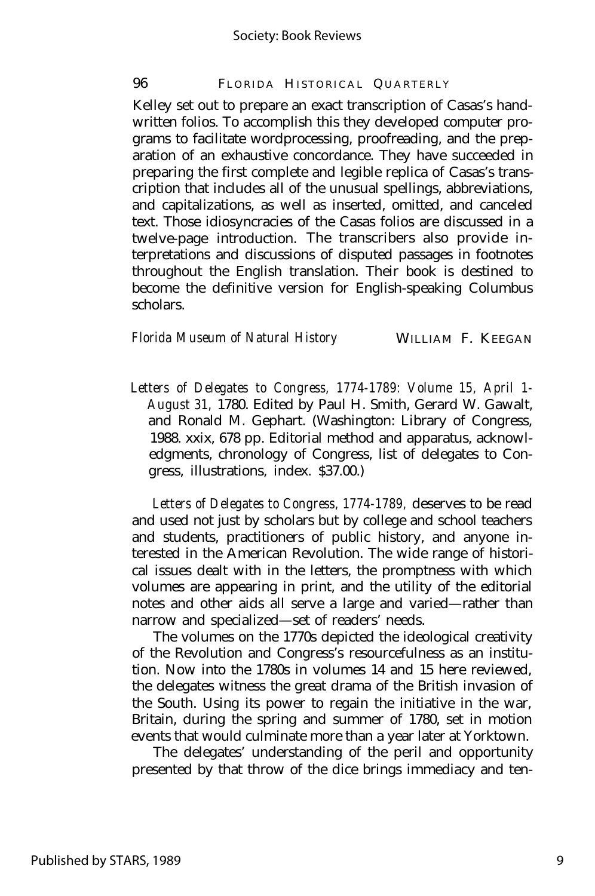Kelley set out to prepare an exact transcription of Casas's handwritten folios. To accomplish this they developed computer programs to facilitate wordprocessing, proofreading, and the preparation of an exhaustive concordance. They have succeeded in preparing the first complete and legible replica of Casas's transcription that includes all of the unusual spellings, abbreviations, and capitalizations, as well as inserted, omitted, and canceled text. Those idiosyncracies of the Casas folios are discussed in a twelve-page introduction. The transcribers also provide interpretations and discussions of disputed passages in footnotes throughout the English translation. Their book is destined to become the definitive version for English-speaking Columbus scholars.

#### *Florida Museum of Natural History* WILLIAM F. KEEGAN

*Letters of Delegates to Congress, 1774-1789: Volume 15, April 1- August 31,* 1780. Edited by Paul H. Smith, Gerard W. Gawalt, and Ronald M. Gephart. (Washington: Library of Congress, 1988. xxix, 678 pp. Editorial method and apparatus, acknowledgments, chronology of Congress, list of delegates to Congress, illustrations, index. \$37.00.)

*Letters of Delegates to Congress, 1774-1789,* deserves to be read and used not just by scholars but by college and school teachers and students, practitioners of public history, and anyone interested in the American Revolution. The wide range of historical issues dealt with in the letters, the promptness with which volumes are appearing in print, and the utility of the editorial notes and other aids all serve a large and varied— rather than narrow and specialized— set of readers' needs.

The volumes on the 1770s depicted the ideological creativity of the Revolution and Congress's resourcefulness as an institution. Now into the 1780s in volumes 14 and 15 here reviewed, the delegates witness the great drama of the British invasion of the South. Using its power to regain the initiative in the war, Britain, during the spring and summer of 1780, set in motion events that would culminate more than a year later at Yorktown.

The delegates' understanding of the peril and opportunity presented by that throw of the dice brings immediacy and ten-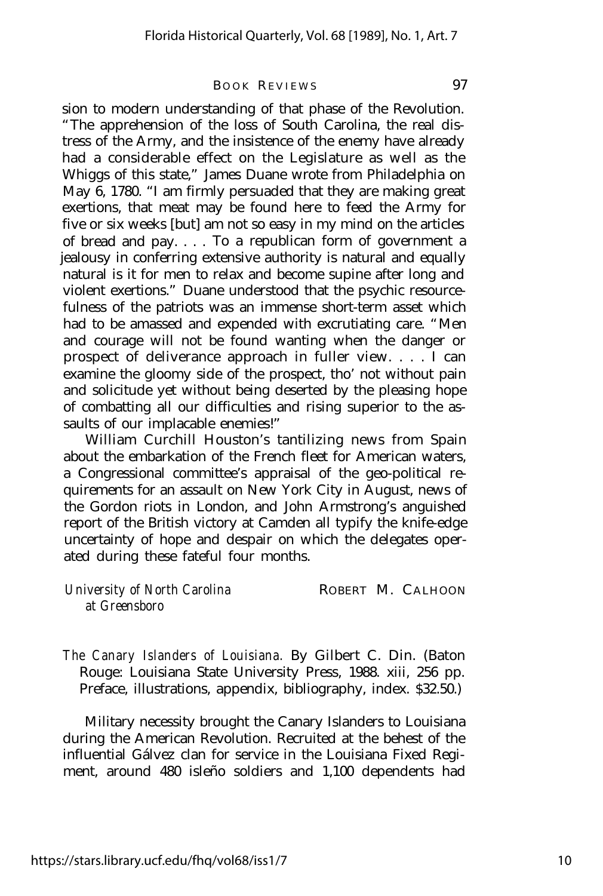sion to modern understanding of that phase of the Revolution. "The apprehension of the loss of South Carolina, the real distress of the Army, and the insistence of the enemy have already had a considerable effect on the Legislature as well as the Whiggs of this state," James Duane wrote from Philadelphia on May 6, 1780. "I am firmly persuaded that they are making great exertions, that meat may be found here to feed the Army for five or six weeks [but] am not so easy in my mind on the articles of bread and pay. . . . To a republican form of government a jealousy in conferring extensive authority is natural and equally natural is it for men to relax and become supine after long and violent exertions." Duane understood that the psychic resourcefulness of the patriots was an immense short-term asset which had to be amassed and expended with excrutiating care. "Men and courage will not be found wanting when the danger or prospect of deliverance approach in fuller view. . . . I can examine the gloomy side of the prospect, tho' not without pain and solicitude yet without being deserted by the pleasing hope of combatting all our difficulties and rising superior to the assaults of our implacable enemies!"

William Curchill Houston's tantilizing news from Spain about the embarkation of the French fleet for American waters, a Congressional committee's appraisal of the geo-political requirements for an assault on New York City in August, news of the Gordon riots in London, and John Armstrong's anguished report of the British victory at Camden all typify the knife-edge uncertainty of hope and despair on which the delegates operated during these fateful four months.

| University of North Carolina |  | ROBERT M. CALHOON |
|------------------------------|--|-------------------|
| at Greensboro                |  |                   |

*The Canary Islanders of Louisiana.* By Gilbert C. Din. (Baton Rouge: Louisiana State University Press, 1988. xiii, 256 pp. Preface, illustrations, appendix, bibliography, index. \$32.50.)

Military necessity brought the Canary Islanders to Louisiana during the American Revolution. Recruited at the behest of the influential Gálvez clan for service in the Louisiana Fixed Regiment, around 480 isleño soldiers and 1,100 dependents had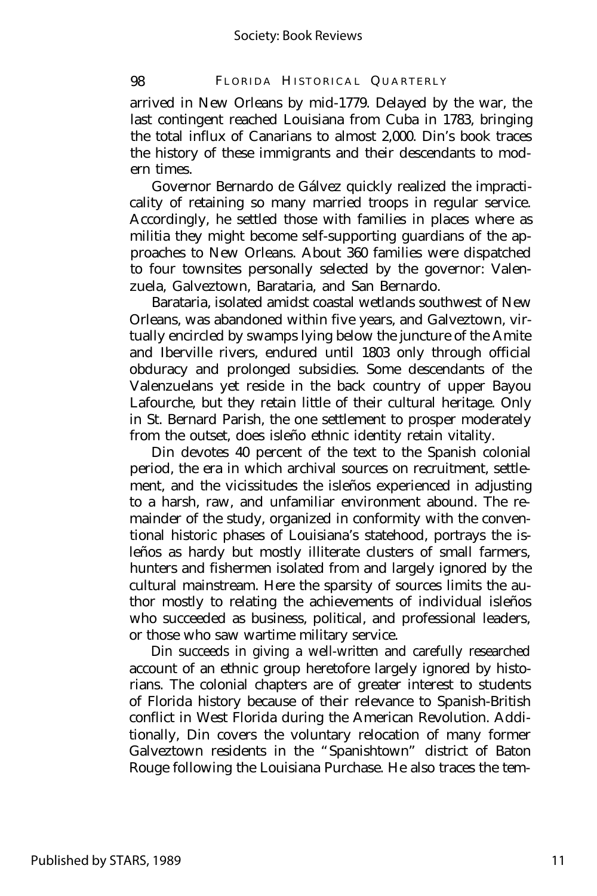arrived in New Orleans by mid-1779. Delayed by the war, the last contingent reached Louisiana from Cuba in 1783, bringing the total influx of Canarians to almost 2,000. Din's book traces the history of these immigrants and their descendants to modern times.

Governor Bernardo de Gálvez quickly realized the impracticality of retaining so many married troops in regular service. Accordingly, he settled those with families in places where as militia they might become self-supporting guardians of the approaches to New Orleans. About 360 families were dispatched to four townsites personally selected by the governor: Valenzuela, Galveztown, Barataria, and San Bernardo.

Barataria, isolated amidst coastal wetlands southwest of New Orleans, was abandoned within five years, and Galveztown, virtually encircled by swamps lying below the juncture of the Amite and Iberville rivers, endured until 1803 only through official obduracy and prolonged subsidies. Some descendants of the Valenzuelans yet reside in the back country of upper Bayou Lafourche, but they retain little of their cultural heritage. Only in St. Bernard Parish, the one settlement to prosper moderately from the outset, does isleño ethnic identity retain vitality.

Din devotes 40 percent of the text to the Spanish colonial period, the era in which archival sources on recruitment, settlement, and the vicissitudes the isleños experienced in adjusting to a harsh, raw, and unfamiliar environment abound. The remainder of the study, organized in conformity with the conventional historic phases of Louisiana's statehood, portrays the isleños as hardy but mostly illiterate clusters of small farmers, hunters and fishermen isolated from and largely ignored by the cultural mainstream. Here the sparsity of sources limits the author mostly to relating the achievements of individual isleños who succeeded as business, political, and professional leaders, or those who saw wartime military service.

Din succeeds in giving a well-written and carefully researched account of an ethnic group heretofore largely ignored by historians. The colonial chapters are of greater interest to students of Florida history because of their relevance to Spanish-British conflict in West Florida during the American Revolution. Additionally, Din covers the voluntary relocation of many former Galveztown residents in the "Spanishtown" district of Baton Rouge following the Louisiana Purchase. He also traces the tem-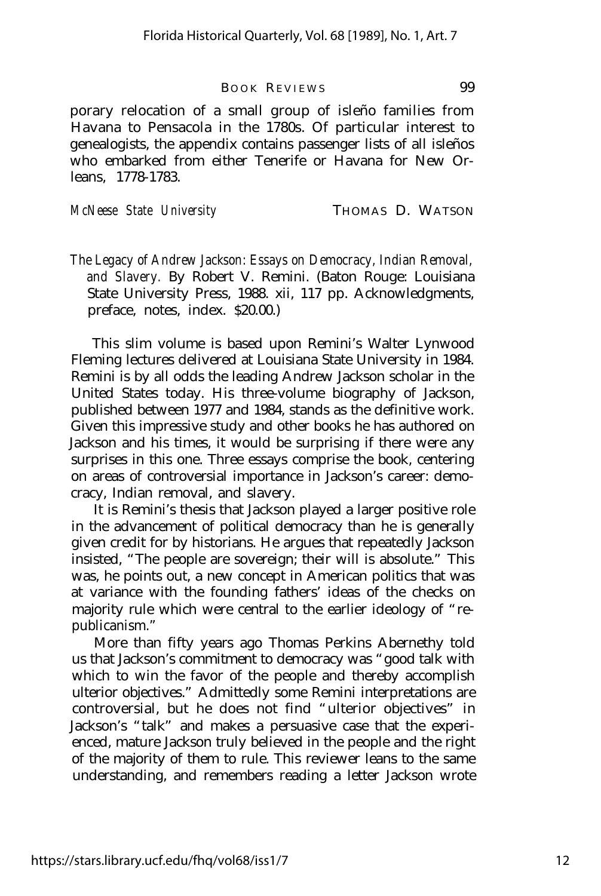porary relocation of a small group of isleño families from Havana to Pensacola in the 1780s. Of particular interest to genealogists, the appendix contains passenger lists of all isleños who embarked from either Tenerife or Havana for New Orleans, 1778-1783.

*McNeese State University* THOMAS D. WATSON

*The Legacy of Andrew Jackson: Essays on Democracy, Indian Removal, and Slavery.* By Robert V. Remini. (Baton Rouge: Louisiana State University Press, 1988. xii, 117 pp. Acknowledgments, preface, notes, index. \$20.00.)

This slim volume is based upon Remini's Walter Lynwood Fleming lectures delivered at Louisiana State University in 1984. Remini is by all odds the leading Andrew Jackson scholar in the United States today. His three-volume biography of Jackson, published between 1977 and 1984, stands as the definitive work. Given this impressive study and other books he has authored on Jackson and his times, it would be surprising if there were any surprises in this one. Three essays comprise the book, centering on areas of controversial importance in Jackson's career: democracy, Indian removal, and slavery.

It is Remini's thesis that Jackson played a larger positive role in the advancement of political democracy than he is generally given credit for by historians. He argues that repeatedly Jackson insisted, "The people are sovereign; their will is absolute." This was, he points out, a new concept in American politics that was at variance with the founding fathers' ideas of the checks on majority rule which were central to the earlier ideology of "republicanism."

More than fifty years ago Thomas Perkins Abernethy told us that Jackson's commitment to democracy was "good talk with which to win the favor of the people and thereby accomplish ulterior objectives." Admittedly some Remini interpretations are controversial, but he does not find "ulterior objectives" in Jackson's "talk" and makes a persuasive case that the experienced, mature Jackson truly believed in the people and the right of the majority of them to rule. This reviewer leans to the same understanding, and remembers reading a letter Jackson wrote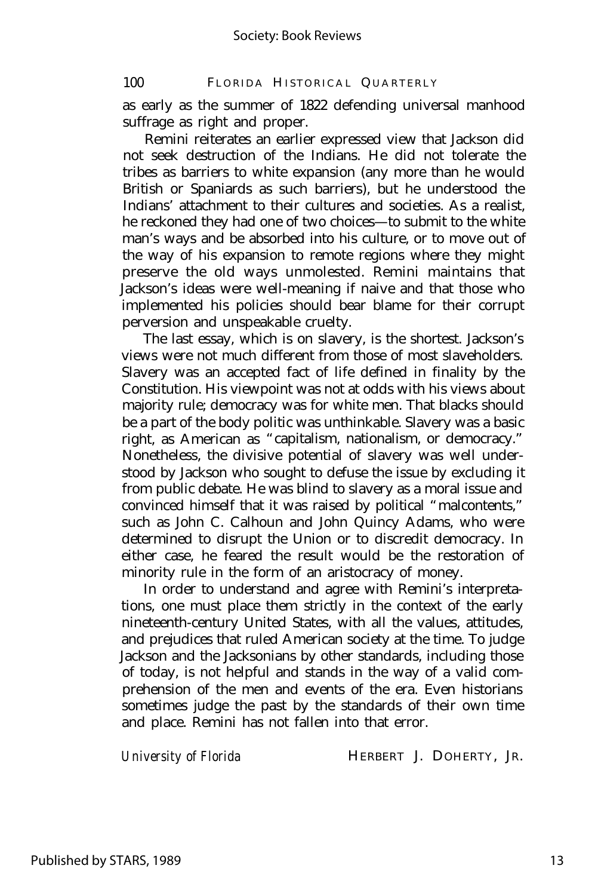as early as the summer of 1822 defending universal manhood suffrage as right and proper.

Remini reiterates an earlier expressed view that Jackson did not seek destruction of the Indians. He did not tolerate the tribes as barriers to white expansion (any more than he would British or Spaniards as such barriers), but he understood the Indians' attachment to their cultures and societies. As a realist, he reckoned they had one of two choices— to submit to the white man's ways and be absorbed into his culture, or to move out of the way of his expansion to remote regions where they might preserve the old ways unmolested. Remini maintains that Jackson's ideas were well-meaning if naive and that those who implemented his policies should bear blame for their corrupt perversion and unspeakable cruelty.

The last essay, which is on slavery, is the shortest. Jackson's views were not much different from those of most slaveholders. Slavery was an accepted fact of life defined in finality by the Constitution. His viewpoint was not at odds with his views about majority rule; democracy was for white men. That blacks should be a part of the body politic was unthinkable. Slavery was a basic right, as American as "capitalism, nationalism, or democracy." Nonetheless, the divisive potential of slavery was well understood by Jackson who sought to defuse the issue by excluding it from public debate. He was blind to slavery as a moral issue and convinced himself that it was raised by political "malcontents," such as John C. Calhoun and John Quincy Adams, who were determined to disrupt the Union or to discredit democracy. In either case, he feared the result would be the restoration of minority rule in the form of an aristocracy of money.

In order to understand and agree with Remini's interpretations, one must place them strictly in the context of the early nineteenth-century United States, with all the values, attitudes, and prejudices that ruled American society at the time. To judge Jackson and the Jacksonians by other standards, including those of today, is not helpful and stands in the way of a valid comprehension of the men and events of the era. Even historians sometimes judge the past by the standards of their own time and place. Remini has not fallen into that error.

*University of Florida* HERBERT J. DOHERTY, JR.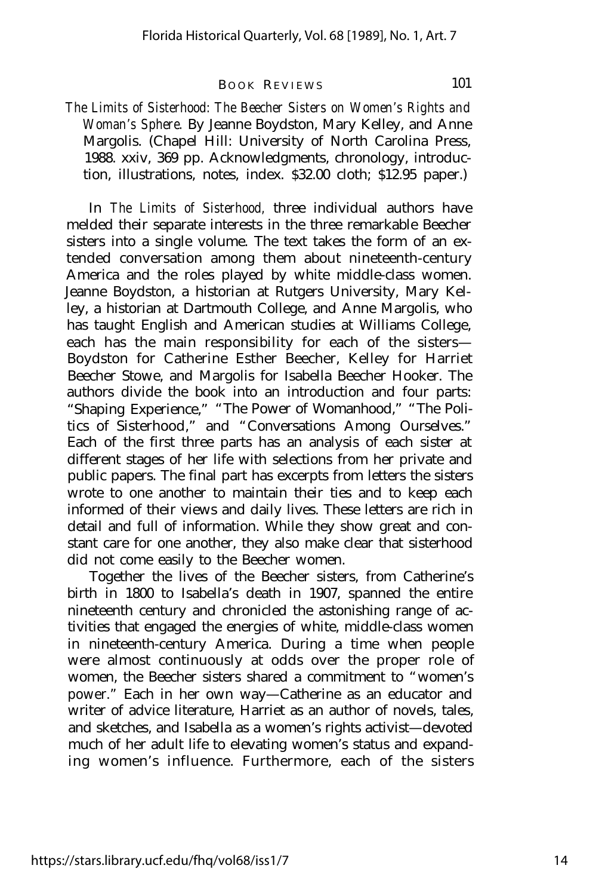*The Limits of Sisterhood: The Beecher Sisters on Women's Rights and Woman's Sphere.* By Jeanne Boydston, Mary Kelley, and Anne Margolis. (Chapel Hill: University of North Carolina Press, 1988. xxiv, 369 pp. Acknowledgments, chronology, introduction, illustrations, notes, index. \$32.00 cloth; \$12.95 paper.)

In *The Limits of Sisterhood,* three individual authors have melded their separate interests in the three remarkable Beecher sisters into a single volume. The text takes the form of an extended conversation among them about nineteenth-century America and the roles played by white middle-class women. Jeanne Boydston, a historian at Rutgers University, Mary Kelley, a historian at Dartmouth College, and Anne Margolis, who has taught English and American studies at Williams College, each has the main responsibility for each of the sisters— Boydston for Catherine Esther Beecher, Kelley for Harriet Beecher Stowe, and Margolis for Isabella Beecher Hooker. The authors divide the book into an introduction and four parts: "Shaping Experience," "The Power of Womanhood," "The Politics of Sisterhood," and "Conversations Among Ourselves." Each of the first three parts has an analysis of each sister at different stages of her life with selections from her private and public papers. The final part has excerpts from letters the sisters wrote to one another to maintain their ties and to keep each informed of their views and daily lives. These letters are rich in detail and full of information. While they show great and constant care for one another, they also make clear that sisterhood did not come easily to the Beecher women.

Together the lives of the Beecher sisters, from Catherine's birth in 1800 to Isabella's death in 1907, spanned the entire nineteenth century and chronicled the astonishing range of activities that engaged the energies of white, middle-class women in nineteenth-century America. During a time when people were almost continuously at odds over the proper role of women, the Beecher sisters shared a commitment to "women's power." Each in her own way— Catherine as an educator and writer of advice literature. Harriet as an author of novels, tales, and sketches, and Isabella as a women's rights activist— devoted much of her adult life to elevating women's status and expanding women's influence. Furthermore, each of the sisters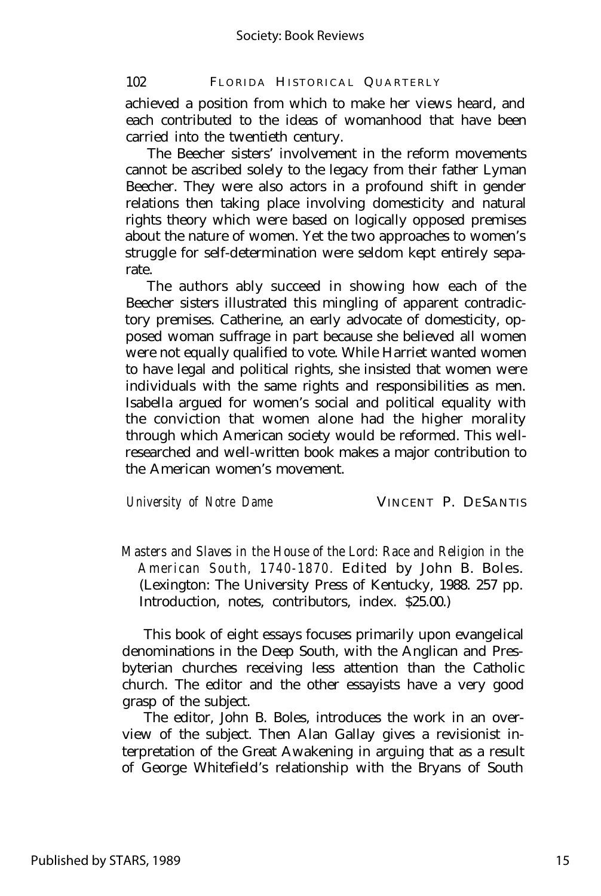achieved a position from which to make her views heard, and each contributed to the ideas of womanhood that have been carried into the twentieth century.

The Beecher sisters' involvement in the reform movements cannot be ascribed solely to the legacy from their father Lyman Beecher. They were also actors in a profound shift in gender relations then taking place involving domesticity and natural rights theory which were based on logically opposed premises about the nature of women. Yet the two approaches to women's struggle for self-determination were seldom kept entirely separate.

The authors ably succeed in showing how each of the Beecher sisters illustrated this mingling of apparent contradictory premises. Catherine, an early advocate of domesticity, opposed woman suffrage in part because she believed all women were not equally qualified to vote. While Harriet wanted women to have legal and political rights, she insisted that women were individuals with the same rights and responsibilities as men. Isabella argued for women's social and political equality with the conviction that women alone had the higher morality through which American society would be reformed. This wellresearched and well-written book makes a major contribution to the American women's movement.

*University of Notre Dame* VINCENT P. DESANTIS

*Masters and Slaves in the House of the Lord: Race and Religion in the American South, 1740-1870.* Edited by John B. Boles. (Lexington: The University Press of Kentucky, 1988. 257 pp. Introduction, notes, contributors, index. \$25.00.)

This book of eight essays focuses primarily upon evangelical denominations in the Deep South, with the Anglican and Presbyterian churches receiving less attention than the Catholic church. The editor and the other essayists have a very good grasp of the subject.

The editor, John B. Boles, introduces the work in an overview of the subject. Then Alan Gallay gives a revisionist interpretation of the Great Awakening in arguing that as a result of George Whitefield's relationship with the Bryans of South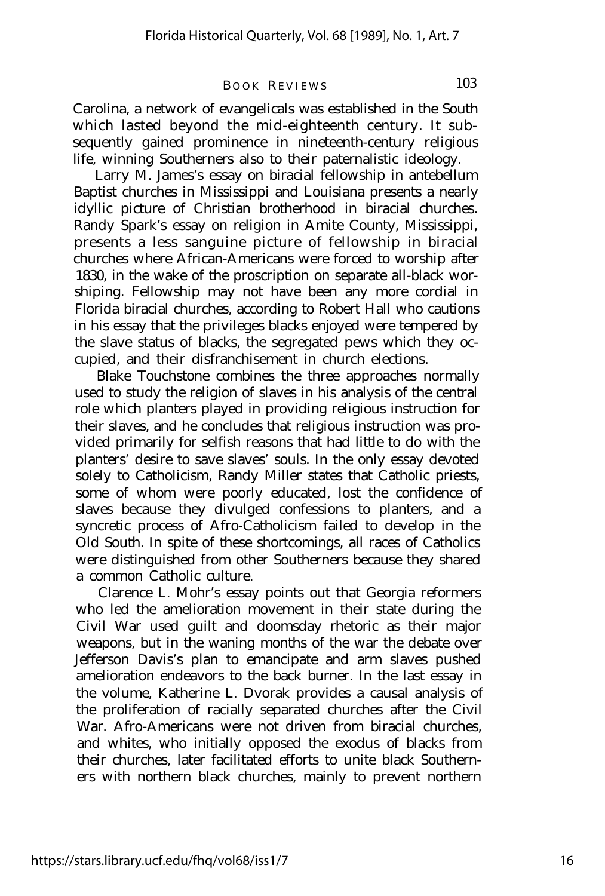Larry M. James's essay on biracial fellowship in antebellum Baptist churches in Mississippi and Louisiana presents a nearly idyllic picture of Christian brotherhood in biracial churches. Randy Spark's essay on religion in Amite County, Mississippi, presents a less sanguine picture of fellowship in biracial churches where African-Americans were forced to worship after 1830, in the wake of the proscription on separate all-black worshiping. Fellowship may not have been any more cordial in Florida biracial churches, according to Robert Hall who cautions in his essay that the privileges blacks enjoyed were tempered by the slave status of blacks, the segregated pews which they occupied, and their disfranchisement in church elections.

Blake Touchstone combines the three approaches normally used to study the religion of slaves in his analysis of the central role which planters played in providing religious instruction for their slaves, and he concludes that religious instruction was provided primarily for selfish reasons that had little to do with the planters' desire to save slaves' souls. In the only essay devoted solely to Catholicism, Randy Miller states that Catholic priests, some of whom were poorly educated, lost the confidence of slaves because they divulged confessions to planters, and a syncretic process of Afro-Catholicism failed to develop in the Old South. In spite of these shortcomings, all races of Catholics were distinguished from other Southerners because they shared a common Catholic culture.

Clarence L. Mohr's essay points out that Georgia reformers who led the amelioration movement in their state during the Civil War used guilt and doomsday rhetoric as their major weapons, but in the waning months of the war the debate over Jefferson Davis's plan to emancipate and arm slaves pushed amelioration endeavors to the back burner. In the last essay in the volume, Katherine L. Dvorak provides a causal analysis of the proliferation of racially separated churches after the Civil War. Afro-Americans were not driven from biracial churches, and whites, who initially opposed the exodus of blacks from their churches, later facilitated efforts to unite black Southerners with northern black churches, mainly to prevent northern

Carolina, a network of evangelicals was established in the South which lasted beyond the mid-eighteenth century. It subsequently gained prominence in nineteenth-century religious life, winning Southerners also to their paternalistic ideology.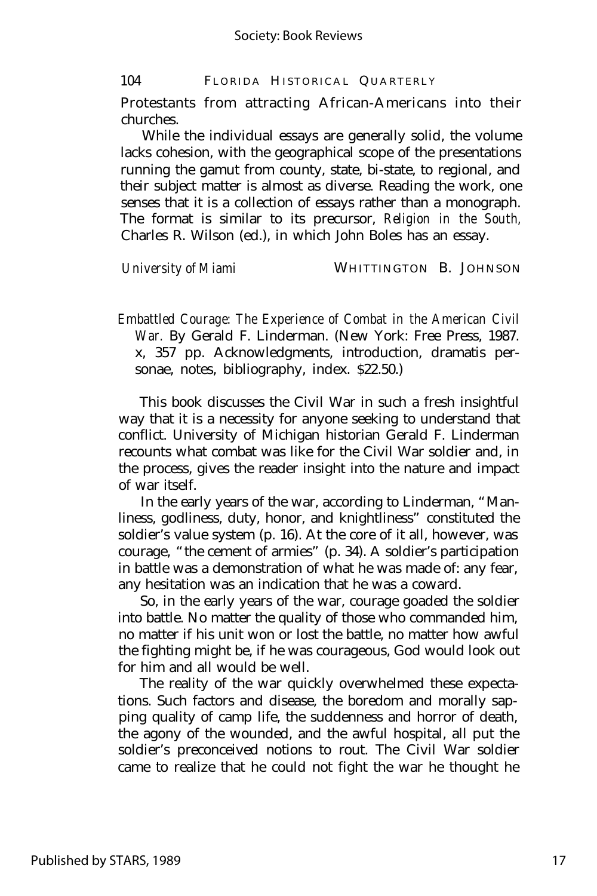Protestants from attracting African-Americans into their churches.

While the individual essays are generally solid, the volume lacks cohesion, with the geographical scope of the presentations running the gamut from county, state, bi-state, to regional, and their subject matter is almost as diverse. Reading the work, one senses that it is a collection of essays rather than a monograph. The format is similar to its precursor, *Religion in the South,* Charles R. Wilson (ed.), in which John Boles has an essay.

#### *University of Miami* WHITTINGTON B. JOHNSON

*Embattled Courage: The Experience of Combat in the American Civil War.* By Gerald F. Linderman. (New York: Free Press, 1987. x, 357 pp. Acknowledgments, introduction, dramatis personae, notes, bibliography, index. \$22.50.)

This book discusses the Civil War in such a fresh insightful way that it is a necessity for anyone seeking to understand that conflict. University of Michigan historian Gerald F. Linderman recounts what combat was like for the Civil War soldier and, in the process, gives the reader insight into the nature and impact of war itself.

In the early years of the war, according to Linderman, "Manliness, godliness, duty, honor, and knightliness" constituted the soldier's value system (p. 16). At the core of it all, however, was courage, "the cement of armies" (p. 34). A soldier's participation in battle was a demonstration of what he was made of: any fear, any hesitation was an indication that he was a coward.

So, in the early years of the war, courage goaded the soldier into battle. No matter the quality of those who commanded him, no matter if his unit won or lost the battle, no matter how awful the fighting might be, if he was courageous, God would look out for him and all would be well.

The reality of the war quickly overwhelmed these expectations. Such factors and disease, the boredom and morally sapping quality of camp life, the suddenness and horror of death, the agony of the wounded, and the awful hospital, all put the soldier's preconceived notions to rout. The Civil War soldier came to realize that he could not fight the war he thought he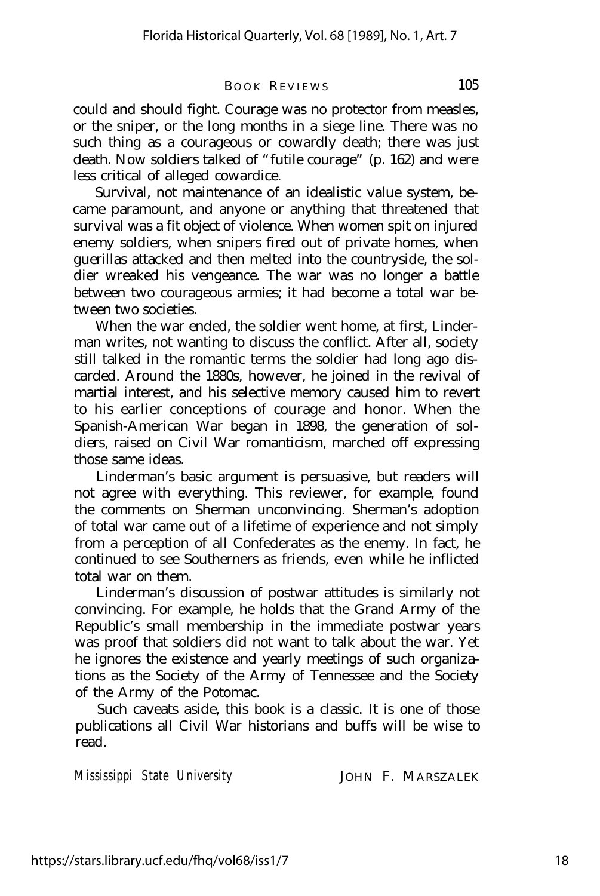could and should fight. Courage was no protector from measles, or the sniper, or the long months in a siege line. There was no such thing as a courageous or cowardly death; there was just death. Now soldiers talked of "futile courage" (p. 162) and were less critical of alleged cowardice.

Survival, not maintenance of an idealistic value system, became paramount, and anyone or anything that threatened that survival was a fit object of violence. When women spit on injured enemy soldiers, when snipers fired out of private homes, when guerillas attacked and then melted into the countryside, the soldier wreaked his vengeance. The war was no longer a battle between two courageous armies; it had become a total war between two societies.

When the war ended, the soldier went home, at first, Linderman writes, not wanting to discuss the conflict. After all, society still talked in the romantic terms the soldier had long ago discarded. Around the 1880s, however, he joined in the revival of martial interest, and his selective memory caused him to revert to his earlier conceptions of courage and honor. When the Spanish-American War began in 1898, the generation of soldiers, raised on Civil War romanticism, marched off expressing those same ideas.

Linderman's basic argument is persuasive, but readers will not agree with everything. This reviewer, for example, found the comments on Sherman unconvincing. Sherman's adoption of total war came out of a lifetime of experience and not simply from a perception of all Confederates as the enemy. In fact, he continued to see Southerners as friends, even while he inflicted total war on them.

Linderman's discussion of postwar attitudes is similarly not convincing. For example, he holds that the Grand Army of the Republic's small membership in the immediate postwar years was proof that soldiers did not want to talk about the war. Yet he ignores the existence and yearly meetings of such organizations as the Society of the Army of Tennessee and the Society of the Army of the Potomac.

Such caveats aside, this book is a classic. It is one of those publications all Civil War historians and buffs will be wise to read.

*Mississippi State University* JOHN F. MARSZALEK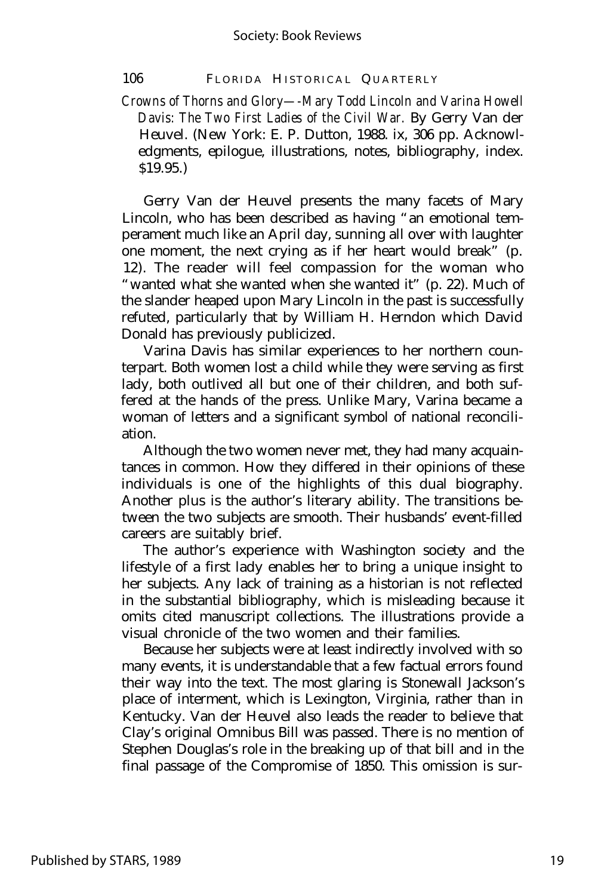*Crowns of Thorns and Glory— -Mary Todd Lincoln and Varina Howell Davis: The Two First Ladies of the Civil War.* By Gerry Van der Heuvel. (New York: E. P. Dutton, 1988. ix, 306 pp. Acknowledgments, epilogue, illustrations, notes, bibliography, index. \$19.95.)

Gerry Van der Heuvel presents the many facets of Mary Lincoln, who has been described as having "an emotional temperament much like an April day, sunning all over with laughter one moment, the next crying as if her heart would break" (p. 12). The reader will feel compassion for the woman who "wanted what she wanted when she wanted it" (p. 22). Much of the slander heaped upon Mary Lincoln in the past is successfully refuted, particularly that by William H. Herndon which David Donald has previously publicized.

Varina Davis has similar experiences to her northern counterpart. Both women lost a child while they were serving as first lady, both outlived all but one of their children, and both suffered at the hands of the press. Unlike Mary, Varina became a woman of letters and a significant symbol of national reconciliation.

Although the two women never met, they had many acquaintances in common. How they differed in their opinions of these individuals is one of the highlights of this dual biography. Another plus is the author's literary ability. The transitions between the two subjects are smooth. Their husbands' event-filled careers are suitably brief.

The author's experience with Washington society and the lifestyle of a first lady enables her to bring a unique insight to her subjects. Any lack of training as a historian is not reflected in the substantial bibliography, which is misleading because it omits cited manuscript collections. The illustrations provide a visual chronicle of the two women and their families.

Because her subjects were at least indirectly involved with so many events, it is understandable that a few factual errors found their way into the text. The most glaring is Stonewall Jackson's place of interment, which is Lexington, Virginia, rather than in Kentucky. Van der Heuvel also leads the reader to believe that Clay's original Omnibus Bill was passed. There is no mention of Stephen Douglas's role in the breaking up of that bill and in the final passage of the Compromise of 1850. This omission is sur-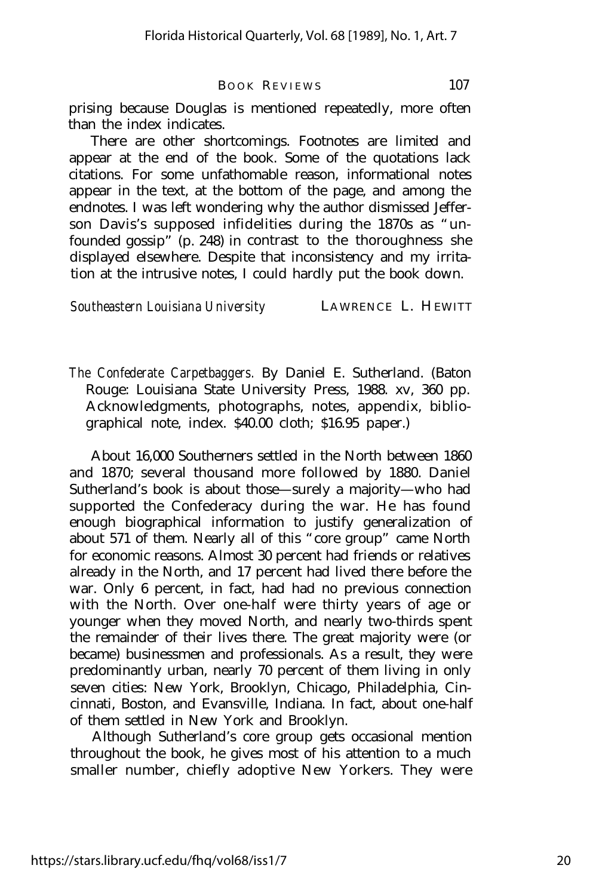prising because Douglas is mentioned repeatedly, more often than the index indicates.

There are other shortcomings. Footnotes are limited and appear at the end of the book. Some of the quotations lack citations. For some unfathomable reason, informational notes appear in the text, at the bottom of the page, and among the endnotes. I was left wondering why the author dismissed Jefferson Davis's supposed infidelities during the 1870s as "unfounded gossip" (p. 248) in contrast to the thoroughness she displayed elsewhere. Despite that inconsistency and my irritation at the intrusive notes, I could hardly put the book down.

*Southeastern Louisiana University* LAWRENCE L. HEWITT

*The Confederate Carpetbaggers.* By Daniel E. Sutherland. (Baton Rouge: Louisiana State University Press, 1988. xv, 360 pp. Acknowledgments, photographs, notes, appendix, bibliographical note, index. \$40.00 cloth; \$16.95 paper.)

About 16,000 Southerners settled in the North between 1860 and 1870; several thousand more followed by 1880. Daniel Sutherland's book is about those— surely a majority— who had supported the Confederacy during the war. He has found enough biographical information to justify generalization of about 571 of them. Nearly all of this "core group" came North for economic reasons. Almost 30 percent had friends or relatives already in the North, and 17 percent had lived there before the war. Only 6 percent, in fact, had had no previous connection with the North. Over one-half were thirty years of age or younger when they moved North, and nearly two-thirds spent the remainder of their lives there. The great majority were (or became) businessmen and professionals. As a result, they were predominantly urban, nearly 70 percent of them living in only seven cities: New York, Brooklyn, Chicago, Philadelphia, Cincinnati, Boston, and Evansville, Indiana. In fact, about one-half of them settled in New York and Brooklyn.

Although Sutherland's core group gets occasional mention throughout the book, he gives most of his attention to a much smaller number, chiefly adoptive New Yorkers. They were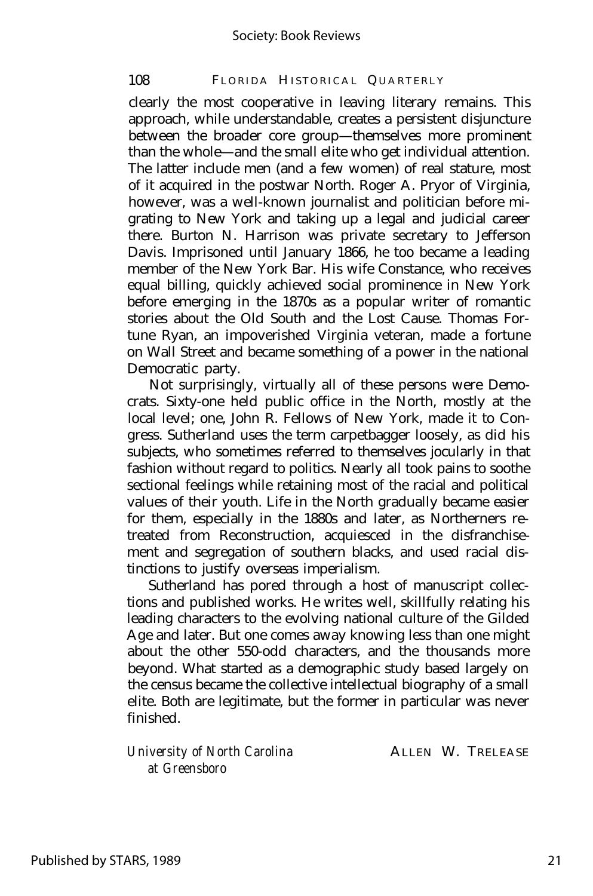clearly the most cooperative in leaving literary remains. This approach, while understandable, creates a persistent disjuncture between the broader core group— themselves more prominent than the whole— and the small elite who get individual attention. The latter include men (and a few women) of real stature, most of it acquired in the postwar North. Roger A. Pryor of Virginia, however, was a well-known journalist and politician before migrating to New York and taking up a legal and judicial career there. Burton N. Harrison was private secretary to Jefferson Davis. Imprisoned until January 1866, he too became a leading member of the New York Bar. His wife Constance, who receives equal billing, quickly achieved social prominence in New York before emerging in the 1870s as a popular writer of romantic stories about the Old South and the Lost Cause. Thomas Fortune Ryan, an impoverished Virginia veteran, made a fortune on Wall Street and became something of a power in the national Democratic party.

Not surprisingly, virtually all of these persons were Democrats. Sixty-one held public office in the North, mostly at the local level; one, John R. Fellows of New York, made it to Congress. Sutherland uses the term carpetbagger loosely, as did his subjects, who sometimes referred to themselves jocularly in that fashion without regard to politics. Nearly all took pains to soothe sectional feelings while retaining most of the racial and political values of their youth. Life in the North gradually became easier for them, especially in the 1880s and later, as Northerners retreated from Reconstruction, acquiesced in the disfranchisement and segregation of southern blacks, and used racial distinctions to justify overseas imperialism.

Sutherland has pored through a host of manuscript collections and published works. He writes well, skillfully relating his leading characters to the evolving national culture of the Gilded Age and later. But one comes away knowing less than one might about the other 550-odd characters, and the thousands more beyond. What started as a demographic study based largely on the census became the collective intellectual biography of a small elite. Both are legitimate, but the former in particular was never finished.

*University of North Carolina at Greensboro*

ALLEN W. TRELEASE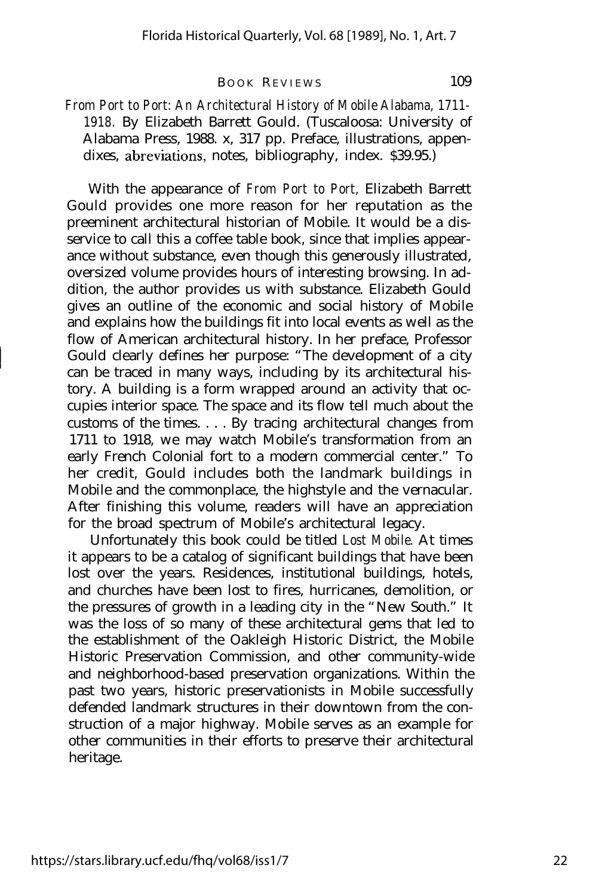*From Port to Port: An Architectural History of Mobile Alabama, 1711- 1918.* By Elizabeth Barrett Gould. (Tuscaloosa: University of Alabama Press, 1988. x, 317 pp. Preface, illustrations, appendixes, abreviations, notes, bibliography, index. \$39.95.)

With the appearance of *From Port to Port,* Elizabeth Barrett Gould provides one more reason for her reputation as the preeminent architectural historian of Mobile. It would be a disservice to call this a coffee table book, since that implies appearance without substance, even though this generously illustrated, oversized volume provides hours of interesting browsing. In addition, the author provides us with substance. Elizabeth Gould gives an outline of the economic and social history of Mobile and explains how the buildings fit into local events as well as the flow of American architectural history. In her preface, Professor Gould clearly defines her purpose: "The development of a city can be traced in many ways, including by its architectural history. A building is a form wrapped around an activity that occupies interior space. The space and its flow tell much about the customs of the times. . . . By tracing architectural changes from 1711 to 1918, we may watch Mobile's transformation from an early French Colonial fort to a modern commercial center." To her credit, Gould includes both the landmark buildings in Mobile and the commonplace, the highstyle and the vernacular. After finishing this volume, readers will have an appreciation for the broad spectrum of Mobile's architectural legacy.

Unfortunately this book could be titled *Lost Mobile.* At times it appears to be a catalog of significant buildings that have been lost over the years. Residences, institutional buildings, hotels, and churches have been lost to fires, hurricanes, demolition, or the pressures of growth in a leading city in the "New South." It was the loss of so many of these architectural gems that led to the establishment of the Oakleigh Historic District, the Mobile Historic Preservation Commission, and other community-wide and neighborhood-based preservation organizations. Within the past two years, historic preservationists in Mobile successfully defended landmark structures in their downtown from the construction of a major highway. Mobile serves as an example for other communities in their efforts to preserve their architectural heritage.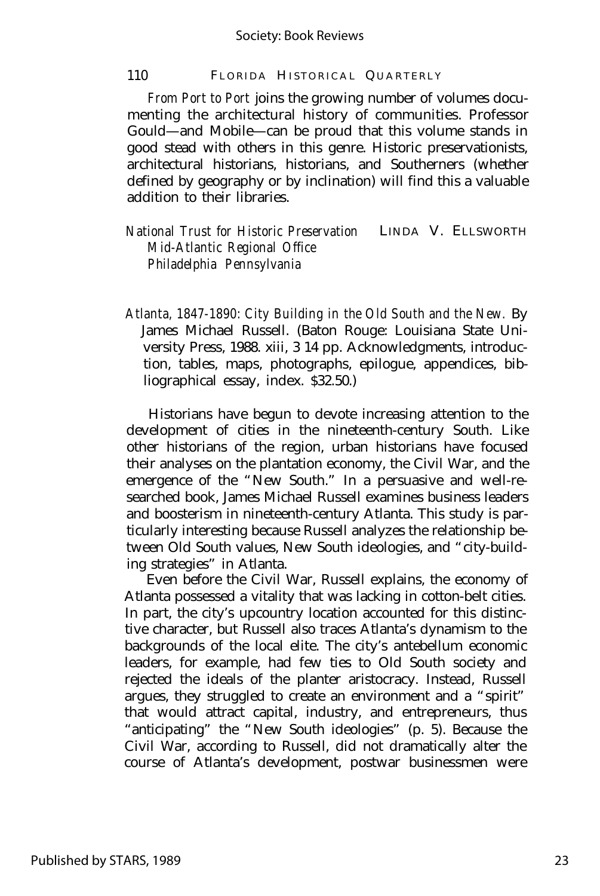*From Port to Port* joins the growing number of volumes documenting the architectural history of communities. Professor Gould— and Mobile— can be proud that this volume stands in good stead with others in this genre. Historic preservationists, architectural historians, historians, and Southerners (whether defined by geography or by inclination) will find this a valuable addition to their libraries.

*National Trust for Historic Preservation* LINDA V. ELLSWORTH *Mid-Atlantic Regional Office Philadelphia Pennsylvania*

*Atlanta, 1847-1890: City Building in the Old South and the New.* By James Michael Russell. (Baton Rouge: Louisiana State University Press, 1988. xiii, 3 14 pp. Acknowledgments, introduction, tables, maps, photographs, epilogue, appendices, bibliographical essay, index. \$32.50.)

Historians have begun to devote increasing attention to the development of cities in the nineteenth-century South. Like other historians of the region, urban historians have focused their analyses on the plantation economy, the Civil War, and the emergence of the "New South." In a persuasive and well-researched book, James Michael Russell examines business leaders and boosterism in nineteenth-century Atlanta. This study is particularly interesting because Russell analyzes the relationship between Old South values, New South ideologies, and "city-building strategies" in Atlanta.

Even before the Civil War, Russell explains, the economy of Atlanta possessed a vitality that was lacking in cotton-belt cities. In part, the city's upcountry location accounted for this distinctive character, but Russell also traces Atlanta's dynamism to the backgrounds of the local elite. The city's antebellum economic leaders, for example, had few ties to Old South society and rejected the ideals of the planter aristocracy. Instead, Russell argues, they struggled to create an environment and a "spirit" that would attract capital, industry, and entrepreneurs, thus "anticipating" the "New South ideologies" (p. 5). Because the Civil War, according to Russell, did not dramatically alter the course of Atlanta's development, postwar businessmen were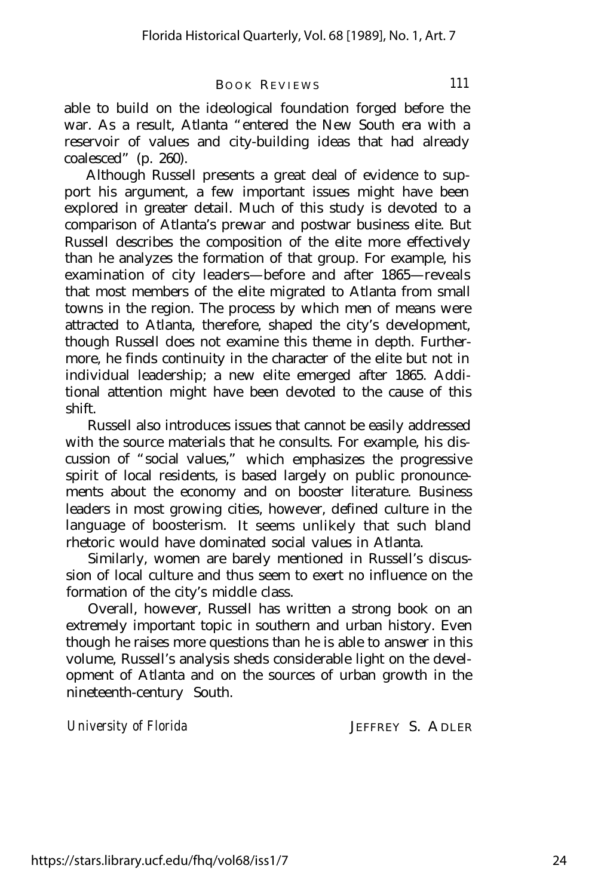able to build on the ideological foundation forged before the war. As a result, Atlanta "entered the New South era with a reservoir of values and city-building ideas that had already coalesced" (p. 260).

Although Russell presents a great deal of evidence to support his argument, a few important issues might have been explored in greater detail. Much of this study is devoted to a comparison of Atlanta's prewar and postwar business elite. But Russell describes the composition of the elite more effectively than he analyzes the formation of that group. For example, his examination of city leaders— before and after 1865— reveals that most members of the elite migrated to Atlanta from small towns in the region. The process by which men of means were attracted to Atlanta, therefore, shaped the city's development, though Russell does not examine this theme in depth. Furthermore, he finds continuity in the character of the elite but not in individual leadership; a new elite emerged after 1865. Additional attention might have been devoted to the cause of this shift.

Russell also introduces issues that cannot be easily addressed with the source materials that he consults. For example, his discussion of "social values," which emphasizes the progressive spirit of local residents, is based largely on public pronouncements about the economy and on booster literature. Business leaders in most growing cities, however, defined culture in the language of boosterism. It seems unlikely that such bland rhetoric would have dominated social values in Atlanta.

Similarly, women are barely mentioned in Russell's discussion of local culture and thus seem to exert no influence on the formation of the city's middle class.

Overall, however, Russell has written a strong book on an extremely important topic in southern and urban history. Even though he raises more questions than he is able to answer in this volume, Russell's analysis sheds considerable light on the development of Atlanta and on the sources of urban growth in the nineteenth-century South.

*University of Florida* JEFFREY S. ADLER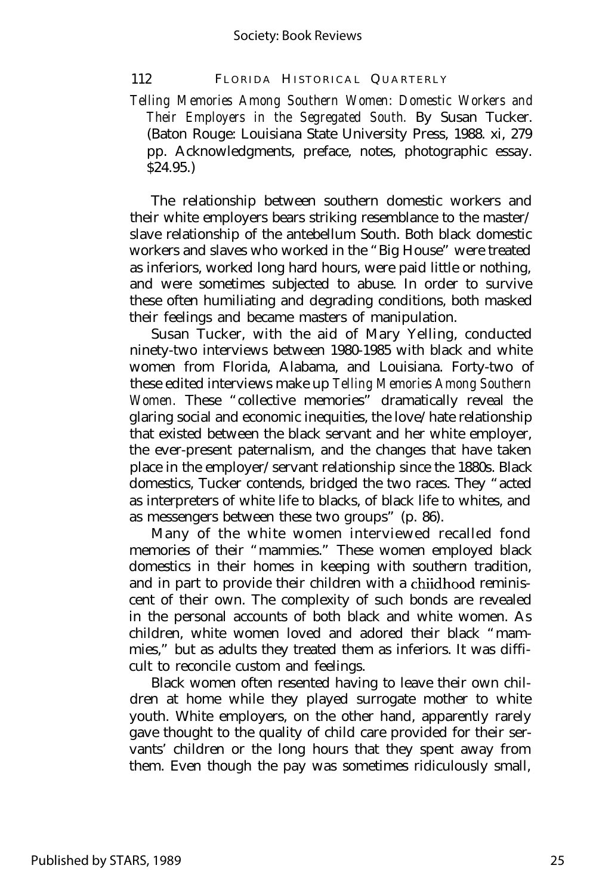*Telling Memories Among Southern Women: Domestic Workers and Their Employers in the Segregated South.* By Susan Tucker. (Baton Rouge: Louisiana State University Press, 1988. xi, 279 pp. Acknowledgments, preface, notes, photographic essay. \$24.95.)

The relationship between southern domestic workers and their white employers bears striking resemblance to the master/ slave relationship of the antebellum South. Both black domestic workers and slaves who worked in the "Big House" were treated as inferiors, worked long hard hours, were paid little or nothing, and were sometimes subjected to abuse. In order to survive these often humiliating and degrading conditions, both masked their feelings and became masters of manipulation.

Susan Tucker, with the aid of Mary Yelling, conducted ninety-two interviews between 1980-1985 with black and white women from Florida, Alabama, and Louisiana. Forty-two of these edited interviews make up *Telling Memories Among Southern Women.* These "collective memories" dramatically reveal the glaring social and economic inequities, the love/hate relationship that existed between the black servant and her white employer, the ever-present paternalism, and the changes that have taken place in the employer/servant relationship since the 1880s. Black domestics, Tucker contends, bridged the two races. They "acted as interpreters of white life to blacks, of black life to whites, and as messengers between these two groups" (p. 86).

Many of the white women interviewed recalled fond memories of their "mammies." These women employed black domestics in their homes in keeping with southern tradition, and in part to provide their children with a chiidhood reminiscent of their own. The complexity of such bonds are revealed in the personal accounts of both black and white women. As children, white women loved and adored their black "mammies," but as adults they treated them as inferiors. It was difficult to reconcile custom and feelings.

Black women often resented having to leave their own children at home while they played surrogate mother to white youth. White employers, on the other hand, apparently rarely gave thought to the quality of child care provided for their servants' children or the long hours that they spent away from them. Even though the pay was sometimes ridiculously small,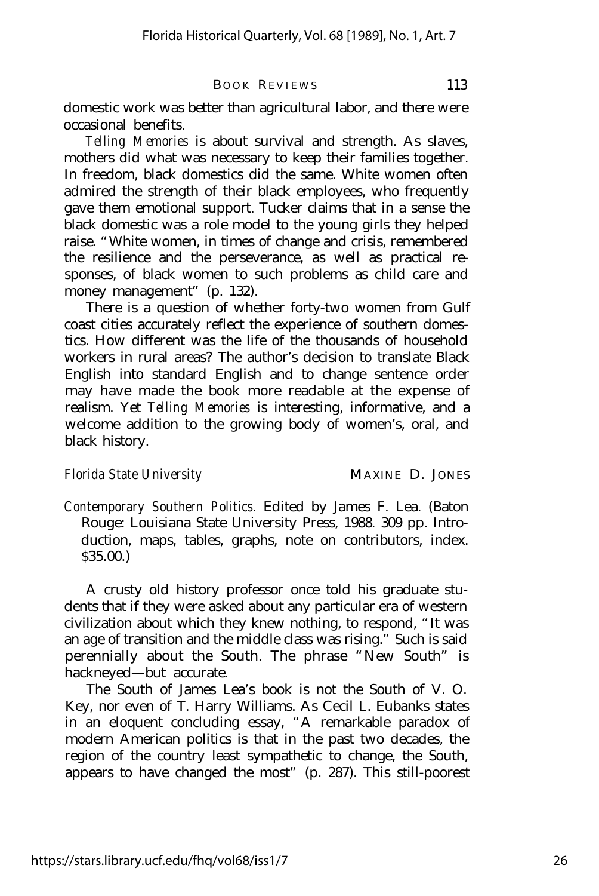domestic work was better than agricultural labor, and there were occasional benefits.

*Telling Memories* is about survival and strength. As slaves, mothers did what was necessary to keep their families together. In freedom, black domestics did the same. White women often admired the strength of their black employees, who frequently gave them emotional support. Tucker claims that in a sense the black domestic was a role model to the young girls they helped raise. "White women, in times of change and crisis, remembered the resilience and the perseverance, as well as practical responses, of black women to such problems as child care and money management" (p. 132).

There is a question of whether forty-two women from Gulf coast cities accurately reflect the experience of southern domestics. How different was the life of the thousands of household workers in rural areas? The author's decision to translate Black English into standard English and to change sentence order may have made the book more readable at the expense of realism. Yet *Telling Memories* is interesting, informative, and a welcome addition to the growing body of women's, oral, and black history.

*Florida State University* MAXINE D. JONES

*Contemporary Southern Politics.* Edited by James F. Lea. (Baton Rouge: Louisiana State University Press, 1988. 309 pp. Introduction, maps, tables, graphs, note on contributors, index. \$35.00.)

A crusty old history professor once told his graduate students that if they were asked about any particular era of western civilization about which they knew nothing, to respond, "It was an age of transition and the middle class was rising." Such is said perennially about the South. The phrase "New South" is hackneyed— but accurate.

The South of James Lea's book is not the South of V. O. Key, nor even of T. Harry Williams. As Cecil L. Eubanks states in an eloquent concluding essay, "A remarkable paradox of modern American politics is that in the past two decades, the region of the country least sympathetic to change, the South, appears to have changed the most" (p. 287). This still-poorest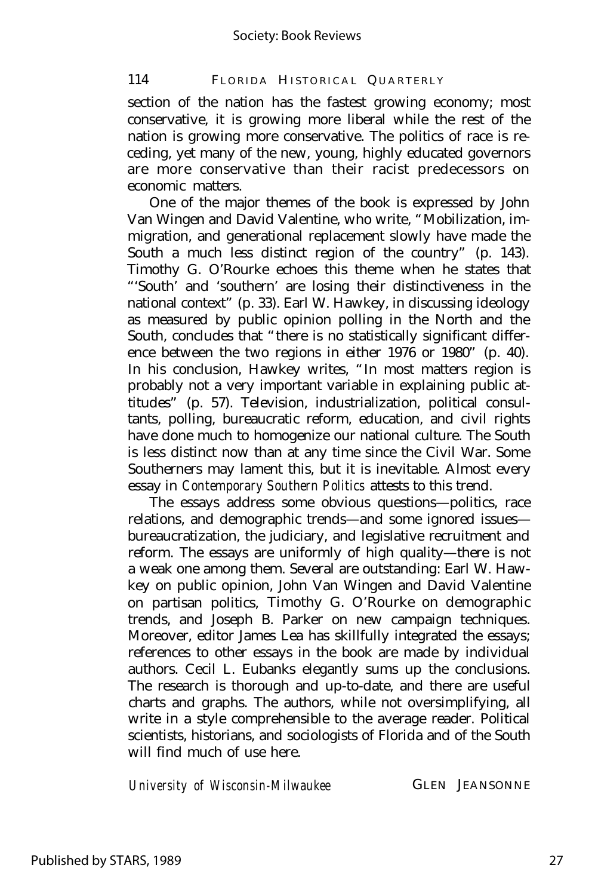section of the nation has the fastest growing economy; most conservative, it is growing more liberal while the rest of the nation is growing more conservative. The politics of race is receding, yet many of the new, young, highly educated governors are more conservative than their racist predecessors on economic matters.

One of the major themes of the book is expressed by John Van Wingen and David Valentine, who write, "Mobilization, immigration, and generational replacement slowly have made the South a much less distinct region of the country" (p. 143). Timothy G. O'Rourke echoes this theme when he states that "'South' and 'southern' are losing their distinctiveness in the national context" (p. 33). Earl W. Hawkey, in discussing ideology as measured by public opinion polling in the North and the South, concludes that "there is no statistically significant difference between the two regions in either 1976 or 1980" (p. 40). In his conclusion, Hawkey writes, "In most matters region is probably not a very important variable in explaining public attitudes" (p. 57). Television, industrialization, political consultants, polling, bureaucratic reform, education, and civil rights have done much to homogenize our national culture. The South is less distinct now than at any time since the Civil War. Some Southerners may lament this, but it is inevitable. Almost every essay in *Contemporary Southern Politics* attests to this trend.

The essays address some obvious questions— politics, race relations, and demographic trends— and some ignored issues bureaucratization, the judiciary, and legislative recruitment and reform. The essays are uniformly of high quality— there is not a weak one among them. Several are outstanding: Earl W. Hawkey on public opinion, John Van Wingen and David Valentine on partisan politics, Timothy G. O'Rourke on demographic trends, and Joseph B. Parker on new campaign techniques. Moreover, editor James Lea has skillfully integrated the essays; references to other essays in the book are made by individual authors. Cecil L. Eubanks elegantly sums up the conclusions. The research is thorough and up-to-date, and there are useful charts and graphs. The authors, while not oversimplifying, all write in a style comprehensible to the average reader. Political scientists, historians, and sociologists of Florida and of the South will find much of use here.

*University of Wisconsin-Milwaukee* GLEN JEANSONNE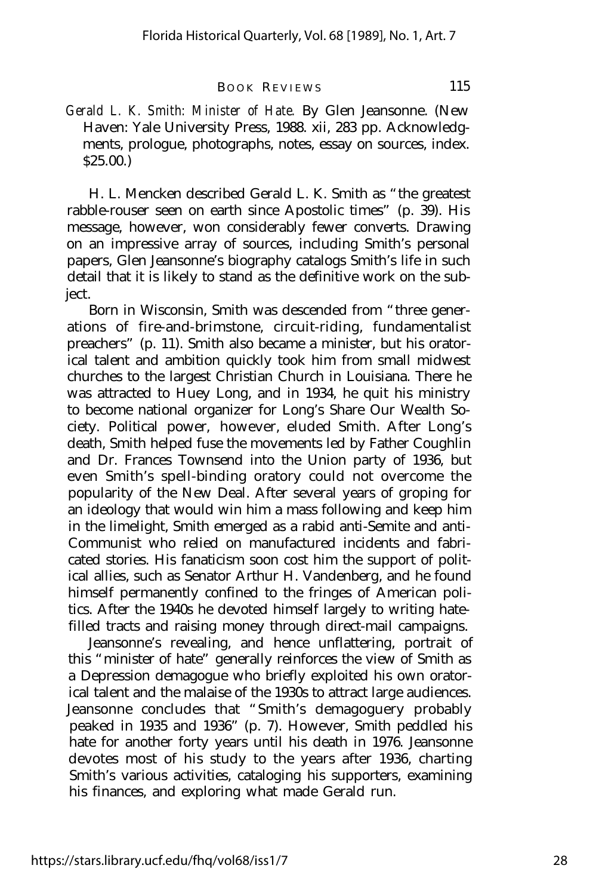*Gerald L. K. Smith: Minister of Hate.* By Glen Jeansonne. (New Haven: Yale University Press, 1988. xii, 283 pp. Acknowledgments, prologue, photographs, notes, essay on sources, index. \$25.00.)

H. L. Mencken described Gerald L. K. Smith as "the greatest rabble-rouser seen on earth since Apostolic times"  $(p, 39)$ . His message, however, won considerably fewer converts. Drawing on an impressive array of sources, including Smith's personal papers, Glen Jeansonne's biography catalogs Smith's life in such detail that it is likely to stand as the definitive work on the subject.

Born in Wisconsin, Smith was descended from "three generations of fire-and-brimstone, circuit-riding, fundamentalist preachers" (p. 11). Smith also became a minister, but his oratorical talent and ambition quickly took him from small midwest churches to the largest Christian Church in Louisiana. There he was attracted to Huey Long, and in 1934, he quit his ministry to become national organizer for Long's Share Our Wealth Society. Political power, however, eluded Smith. After Long's death, Smith helped fuse the movements led by Father Coughlin and Dr. Frances Townsend into the Union party of 1936, but even Smith's spell-binding oratory could not overcome the popularity of the New Deal. After several years of groping for an ideology that would win him a mass following and keep him in the limelight, Smith emerged as a rabid anti-Semite and anti-Communist who relied on manufactured incidents and fabricated stories. His fanaticism soon cost him the support of political allies, such as Senator Arthur H. Vandenberg, and he found himself permanently confined to the fringes of American politics. After the 1940s he devoted himself largely to writing hatefilled tracts and raising money through direct-mail campaigns.

Jeansonne's revealing, and hence unflattering, portrait of this "minister of hate" generally reinforces the view of Smith as a Depression demagogue who briefly exploited his own oratorical talent and the malaise of the 1930s to attract large audiences. Jeansonne concludes that "Smith's demagoguery probably peaked in 1935 and 1936" (p. 7). However, Smith peddled his hate for another forty years until his death in 1976. Jeansonne devotes most of his study to the years after 1936, charting Smith's various activities, cataloging his supporters, examining his finances, and exploring what made Gerald run.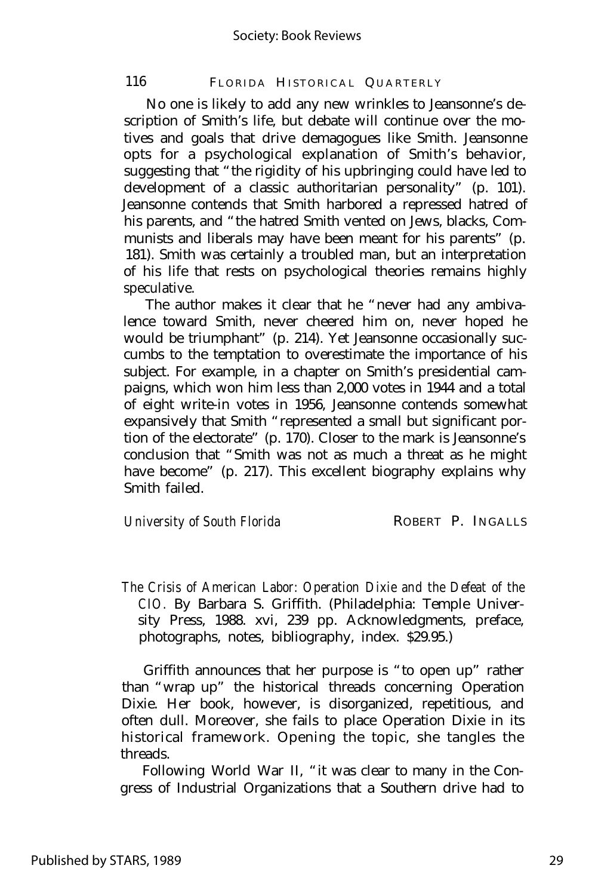No one is likely to add any new wrinkles to Jeansonne's description of Smith's life, but debate will continue over the motives and goals that drive demagogues like Smith. Jeansonne opts for a psychological explanation of Smith's behavior, suggesting that "the rigidity of his upbringing could have led to development of a classic authoritarian personality" (p. 101). Jeansonne contends that Smith harbored a repressed hatred of his parents, and "the hatred Smith vented on Jews, blacks, Communists and liberals may have been meant for his parents" (p. 181). Smith was certainly a troubled man, but an interpretation of his life that rests on psychological theories remains highly speculative.

The author makes it clear that he "never had any ambivalence toward Smith, never cheered him on, never hoped he would be triumphant" (p. 214). Yet Jeansonne occasionally succumbs to the temptation to overestimate the importance of his subject. For example, in a chapter on Smith's presidential campaigns, which won him less than 2,000 votes in 1944 and a total of eight write-in votes in 1956, Jeansonne contends somewhat expansively that Smith "represented a small but significant portion of the electorate" (p. 170). Closer to the mark is Jeansonne's conclusion that "Smith was not as much a threat as he might have become" (p. 217). This excellent biography explains why Smith failed.

*University of South Florida* ROBERT P. INGALLS

*The Crisis of American Labor: Operation Dixie and the Defeat of the CIO.* By Barbara S. Griffith. (Philadelphia: Temple University Press, 1988. xvi, 239 pp. Acknowledgments, preface, photographs, notes, bibliography, index. \$29.95.)

Griffith announces that her purpose is "to open up" rather than "wrap up" the historical threads concerning Operation Dixie. Her book, however, is disorganized, repetitious, and often dull. Moreover, she fails to place Operation Dixie in its historical framework. Opening the topic, she tangles the threads.

Following World War II, "it was clear to many in the Congress of Industrial Organizations that a Southern drive had to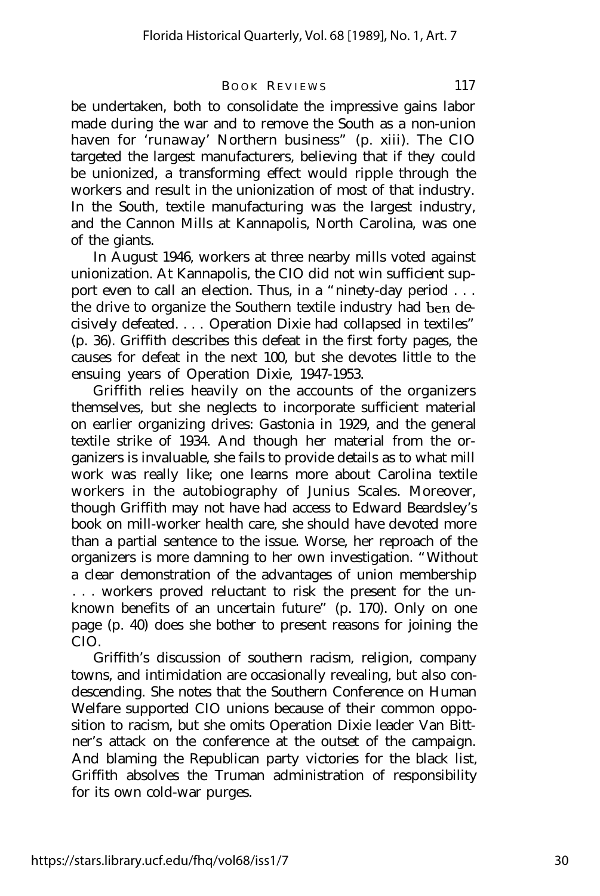be undertaken, both to consolidate the impressive gains labor made during the war and to remove the South as a non-union haven for 'runaway' Northern business" (p. xiii). The CIO targeted the largest manufacturers, believing that if they could be unionized, a transforming effect would ripple through the workers and result in the unionization of most of that industry. In the South, textile manufacturing was the largest industry, and the Cannon Mills at Kannapolis, North Carolina, was one of the giants.

In August 1946, workers at three nearby mills voted against unionization. At Kannapolis, the CIO did not win sufficient support even to call an election. Thus, in a "ninety-day period . . . the drive to organize the Southern textile industry had ben decisively defeated. . . . Operation Dixie had collapsed in textiles" (p. 36). Griffith describes this defeat in the first forty pages, the causes for defeat in the next 100, but she devotes little to the ensuing years of Operation Dixie, 1947-1953.

Griffith relies heavily on the accounts of the organizers themselves, but she neglects to incorporate sufficient material on earlier organizing drives: Gastonia in 1929, and the general textile strike of 1934. And though her material from the organizers is invaluable, she fails to provide details as to what mill work was really like; one learns more about Carolina textile workers in the autobiography of Junius Scales. Moreover, though Griffith may not have had access to Edward Beardsley's book on mill-worker health care, she should have devoted more than a partial sentence to the issue. Worse, her reproach of the organizers is more damning to her own investigation. "Without a clear demonstration of the advantages of union membership . . . workers proved reluctant to risk the present for the unknown benefits of an uncertain future" (p. 170). Only on one page (p. 40) does she bother to present reasons for joining the CIO.

Griffith's discussion of southern racism, religion, company towns, and intimidation are occasionally revealing, but also condescending. She notes that the Southern Conference on Human Welfare supported CIO unions because of their common opposition to racism, but she omits Operation Dixie leader Van Bittner's attack on the conference at the outset of the campaign. And blaming the Republican party victories for the black list, Griffith absolves the Truman administration of responsibility for its own cold-war purges.

https://stars.library.ucf.edu/fhq/vol68/iss1/7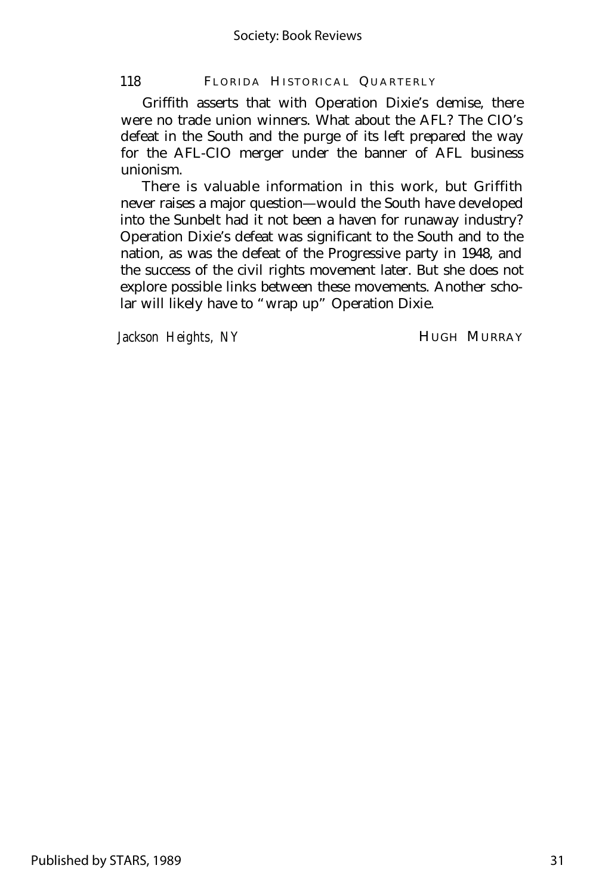Griffith asserts that with Operation Dixie's demise, there were no trade union winners. What about the AFL? The CIO's defeat in the South and the purge of its left prepared the way for the AFL-CIO merger under the banner of AFL business unionism.

There is valuable information in this work, but Griffith never raises a major question— would the South have developed into the Sunbelt had it not been a haven for runaway industry? Operation Dixie's defeat was significant to the South and to the nation, as was the defeat of the Progressive party in 1948, and the success of the civil rights movement later. But she does not explore possible links between these movements. Another scholar will likely have to "wrap up" Operation Dixie.

*Jackson Heights, NY* HUGH MURRAY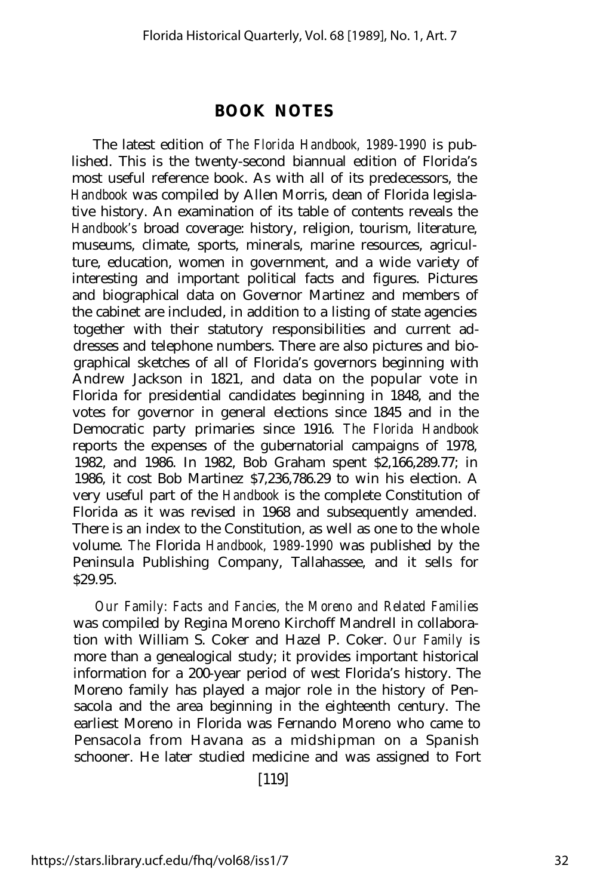# **BOOK NOTES**

The latest edition of *The Florida Handbook, 1989-1990* is published. This is the twenty-second biannual edition of Florida's most useful reference book. As with all of its predecessors, the *Handbook* was compiled by Allen Morris, dean of Florida legislative history. An examination of its table of contents reveals the *Handbook's* broad coverage: history, religion, tourism, literature, museums, climate, sports, minerals, marine resources, agriculture, education, women in government, and a wide variety of interesting and important political facts and figures. Pictures and biographical data on Governor Martinez and members of the cabinet are included, in addition to a listing of state agencies together with their statutory responsibilities and current addresses and telephone numbers. There are also pictures and biographical sketches of all of Florida's governors beginning with Andrew Jackson in 1821, and data on the popular vote in Florida for presidential candidates beginning in 1848, and the votes for governor in general elections since 1845 and in the Democratic party primaries since 1916. *The Florida Handbook* reports the expenses of the gubernatorial campaigns of 1978, 1982, and 1986. In 1982, Bob Graham spent \$2,166,289.77; in 1986, it cost Bob Martinez \$7,236,786.29 to win his election. A very useful part of the *Handbook* is the complete Constitution of Florida as it was revised in 1968 and subsequently amended. There is an index to the Constitution, as well as one to the whole volume. *The* Florida *Handbook, 1989-1990* was published by the Peninsula Publishing Company, Tallahassee, and it sells for \$29.95.

*Our Family: Facts and Fancies, the Moreno and Related Families* was compiled by Regina Moreno Kirchoff Mandrell in collaboration with William S. Coker and Hazel P. Coker. *Our Family* is more than a genealogical study; it provides important historical information for a 200-year period of west Florida's history. The Moreno family has played a major role in the history of Pensacola and the area beginning in the eighteenth century. The earliest Moreno in Florida was Fernando Moreno who came to Pensacola from Havana as a midshipman on a Spanish schooner. He later studied medicine and was assigned to Fort

[119]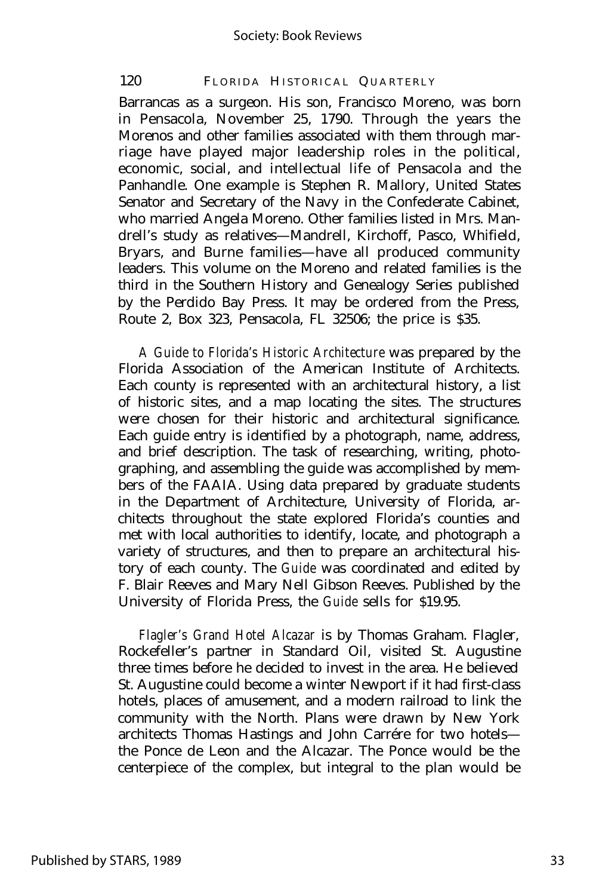Barrancas as a surgeon. His son, Francisco Moreno, was born in Pensacola, November 25, 1790. Through the years the Morenos and other families associated with them through marriage have played major leadership roles in the political, economic, social, and intellectual life of Pensacola and the Panhandle. One example is Stephen R. Mallory, United States Senator and Secretary of the Navy in the Confederate Cabinet, who married Angela Moreno. Other families listed in Mrs. Mandrell's study as relatives— Mandrell, Kirchoff, Pasco, Whifield, Bryars, and Burne families— have all produced community leaders. This volume on the Moreno and related families is the third in the Southern History and Genealogy Series published by the Perdido Bay Press. It may be ordered from the Press, Route 2, Box 323, Pensacola, FL 32506; the price is \$35.

*A Guide to Florida's Historic Architecture* was prepared by the Florida Association of the American Institute of Architects. Each county is represented with an architectural history, a list of historic sites, and a map locating the sites. The structures were chosen for their historic and architectural significance. Each guide entry is identified by a photograph, name, address, and brief description. The task of researching, writing, photographing, and assembling the guide was accomplished by members of the FAAIA. Using data prepared by graduate students in the Department of Architecture, University of Florida, architects throughout the state explored Florida's counties and met with local authorities to identify, locate, and photograph a variety of structures, and then to prepare an architectural history of each county. The *Guide* was coordinated and edited by F. Blair Reeves and Mary Nell Gibson Reeves. Published by the University of Florida Press, the *Guide* sells for \$19.95.

*Flagler's Grand Hotel Alcazar* is by Thomas Graham. Flagler, Rockefeller's partner in Standard Oil, visited St. Augustine three times before he decided to invest in the area. He believed St. Augustine could become a winter Newport if it had first-class hotels, places of amusement, and a modern railroad to link the community with the North. Plans were drawn by New York architects Thomas Hastings and John Carrére for two hotels the Ponce de Leon and the Alcazar. The Ponce would be the centerpiece of the complex, but integral to the plan would be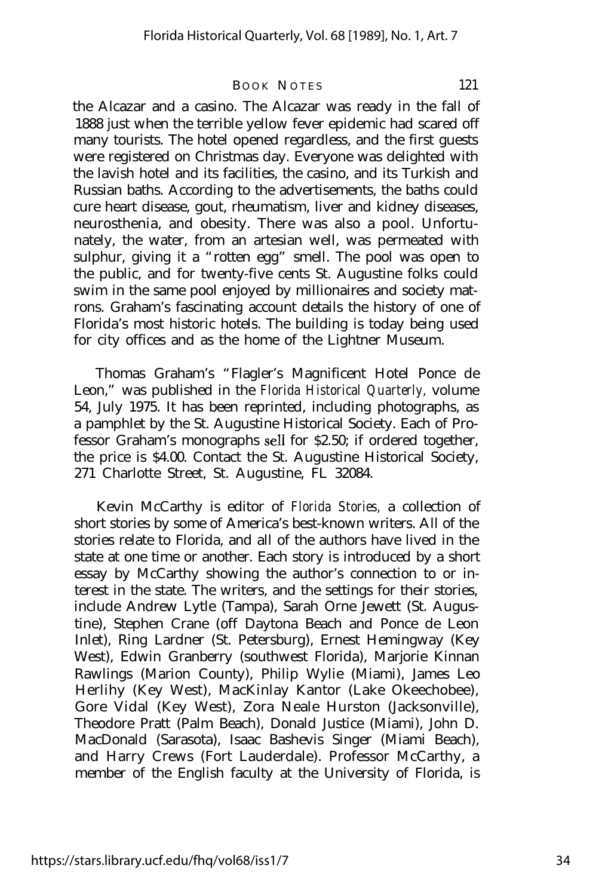#### BOOK NOTES 121

the Alcazar and a casino. The Alcazar was ready in the fall of 1888 just when the terrible yellow fever epidemic had scared off many tourists. The hotel opened regardless, and the first guests were registered on Christmas day. Everyone was delighted with the lavish hotel and its facilities, the casino, and its Turkish and Russian baths. According to the advertisements, the baths could cure heart disease, gout, rheumatism, liver and kidney diseases, neurosthenia, and obesity. There was also a pool. Unfortunately, the water, from an artesian well, was permeated with sulphur, giving it a "rotten egg" smell. The pool was open to the public, and for twenty-five cents St. Augustine folks could swim in the same pool enjoyed by millionaires and society matrons. Graham's fascinating account details the history of one of Florida's most historic hotels. The building is today being used for city offices and as the home of the Lightner Museum.

Thomas Graham's "Flagler's Magnificent Hotel Ponce de Leon," was published in the *Florida Historical Quarterly,* volume 54, July 1975. It has been reprinted, including photographs, as a pamphlet by the St. Augustine Historical Society. Each of Professor Graham's monographs sell for \$2.50; if ordered together, the price is \$4.00. Contact the St. Augustine Historical Society, 271 Charlotte Street, St. Augustine, FL 32084.

Kevin McCarthy is editor of *Florida Stories,* a collection of short stories by some of America's best-known writers. All of the stories relate to Florida, and all of the authors have lived in the state at one time or another. Each story is introduced by a short essay by McCarthy showing the author's connection to or interest in the state. The writers, and the settings for their stories, include Andrew Lytle (Tampa), Sarah Orne Jewett (St. Augustine), Stephen Crane (off Daytona Beach and Ponce de Leon Inlet), Ring Lardner (St. Petersburg), Ernest Hemingway (Key West), Edwin Granberry (southwest Florida), Marjorie Kinnan Rawlings (Marion County), Philip Wylie (Miami), James Leo Herlihy (Key West), MacKinlay Kantor (Lake Okeechobee), Gore Vidal (Key West), Zora Neale Hurston (Jacksonville), Theodore Pratt (Palm Beach), Donald Justice (Miami), John D. MacDonald (Sarasota), Isaac Bashevis Singer (Miami Beach), and Harry Crews (Fort Lauderdale). Professor McCarthy, a member of the English faculty at the University of Florida, is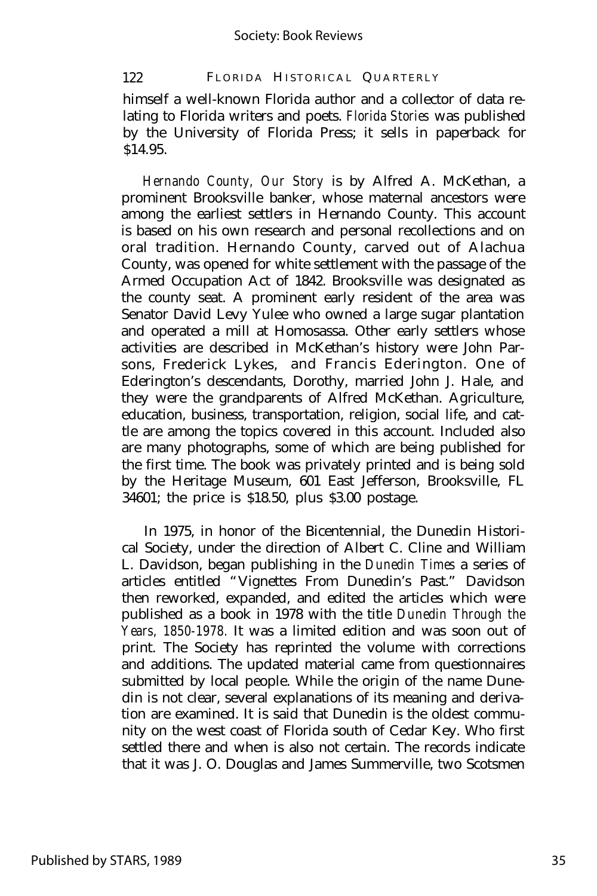himself a well-known Florida author and a collector of data relating to Florida writers and poets. *Florida Stories* was published by the University of Florida Press; it sells in paperback for \$14.95.

*Hernando County, Our Story* is by Alfred A. McKethan, a prominent Brooksville banker, whose maternal ancestors were among the earliest settlers in Hernando County. This account is based on his own research and personal recollections and on oral tradition. Hernando County, carved out of Alachua County, was opened for white settlement with the passage of the Armed Occupation Act of 1842. Brooksville was designated as the county seat. A prominent early resident of the area was Senator David Levy Yulee who owned a large sugar plantation and operated a mill at Homosassa. Other early settlers whose activities are described in McKethan's history were John Parsons, Frederick Lykes, and Francis Ederington. One of Ederington's descendants, Dorothy, married John J. Hale, and they were the grandparents of Alfred McKethan. Agriculture, education, business, transportation, religion, social life, and cattle are among the topics covered in this account. Included also are many photographs, some of which are being published for the first time. The book was privately printed and is being sold by the Heritage Museum, 601 East Jefferson, Brooksville, FL 34601; the price is \$18.50, plus \$3.00 postage.

In 1975, in honor of the Bicentennial, the Dunedin Historical Society, under the direction of Albert C. Cline and William L. Davidson, began publishing in the *Dunedin Times* a series of articles entitled "Vignettes From Dunedin's Past." Davidson then reworked, expanded, and edited the articles which were published as a book in 1978 with the title *Dunedin Through the Years, 1850-1978.* It was a limited edition and was soon out of print. The Society has reprinted the volume with corrections and additions. The updated material came from questionnaires submitted by local people. While the origin of the name Dunedin is not clear, several explanations of its meaning and derivation are examined. It is said that Dunedin is the oldest community on the west coast of Florida south of Cedar Key. Who first settled there and when is also not certain. The records indicate that it was J. O. Douglas and James Summerville, two Scotsmen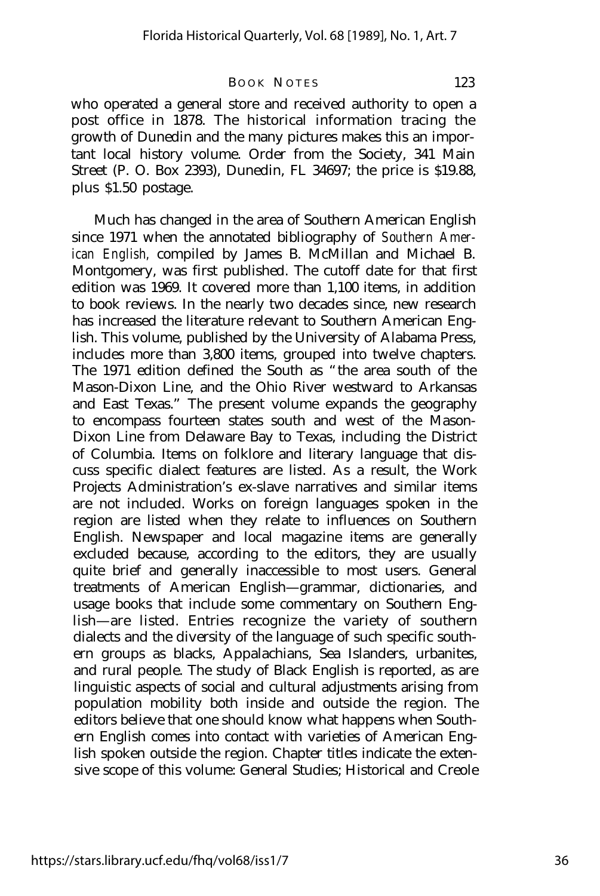#### BOOK NOTES 123

who operated a general store and received authority to open a post office in 1878. The historical information tracing the growth of Dunedin and the many pictures makes this an important local history volume. Order from the Society, 341 Main Street (P. O. Box 2393), Dunedin, FL 34697; the price is \$19.88, plus \$1.50 postage.

Much has changed in the area of Southern American English since 1971 when the annotated bibliography of *Southern American English,* compiled by James B. McMillan and Michael B. Montgomery, was first published. The cutoff date for that first edition was 1969. It covered more than 1,100 items, in addition to book reviews. In the nearly two decades since, new research has increased the literature relevant to Southern American English. This volume, published by the University of Alabama Press, includes more than 3,800 items, grouped into twelve chapters. The 1971 edition defined the South as "the area south of the Mason-Dixon Line, and the Ohio River westward to Arkansas and East Texas." The present volume expands the geography to encompass fourteen states south and west of the Mason-Dixon Line from Delaware Bay to Texas, including the District of Columbia. Items on folklore and literary language that discuss specific dialect features are listed. As a result, the Work Projects Administration's ex-slave narratives and similar items are not included. Works on foreign languages spoken in the region are listed when they relate to influences on Southern English. Newspaper and local magazine items are generally excluded because, according to the editors, they are usually quite brief and generally inaccessible to most users. General treatments of American English— grammar, dictionaries, and usage books that include some commentary on Southern English— are listed. Entries recognize the variety of southern dialects and the diversity of the language of such specific southern groups as blacks, Appalachians, Sea Islanders, urbanites, and rural people. The study of Black English is reported, as are linguistic aspects of social and cultural adjustments arising from population mobility both inside and outside the region. The editors believe that one should know what happens when Southern English comes into contact with varieties of American English spoken outside the region. Chapter titles indicate the extensive scope of this volume: General Studies; Historical and Creole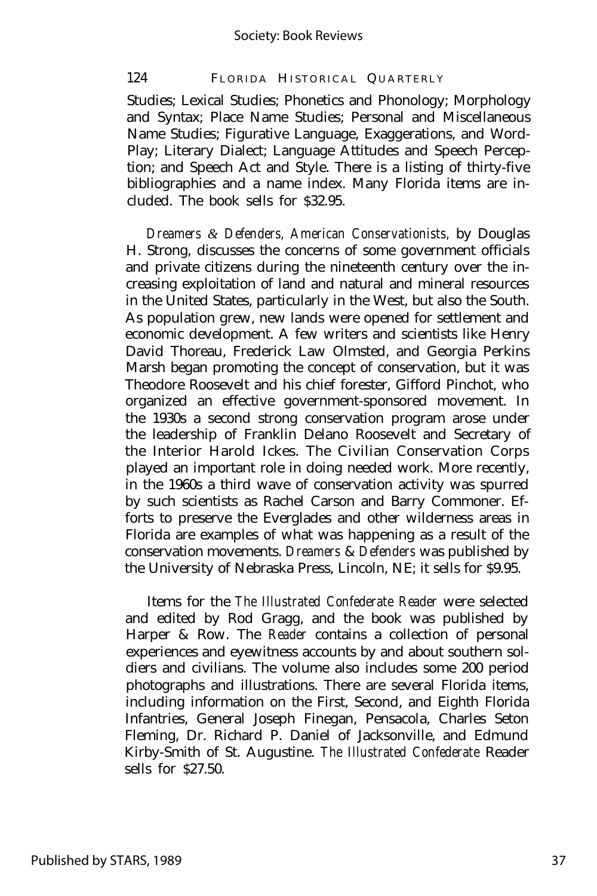Studies; Lexical Studies; Phonetics and Phonology; Morphology and Syntax; Place Name Studies; Personal and Miscellaneous Name Studies; Figurative Language, Exaggerations, and Word-Play; Literary Dialect; Language Attitudes and Speech Perception; and Speech Act and Style. There is a listing of thirty-five bibliographies and a name index. Many Florida items are included. The book sells for \$32.95.

*Dreamers & Defenders, American Conservationists,* by Douglas H. Strong, discusses the concerns of some government officials and private citizens during the nineteenth century over the increasing exploitation of land and natural and mineral resources in the United States, particularly in the West, but also the South. As population grew, new lands were opened for settlement and economic development. A few writers and scientists like Henry David Thoreau, Frederick Law Olmsted, and Georgia Perkins Marsh began promoting the concept of conservation, but it was Theodore Roosevelt and his chief forester, Gifford Pinchot, who organized an effective government-sponsored movement. In the 1930s a second strong conservation program arose under the leadership of Franklin Delano Roosevelt and Secretary of the Interior Harold Ickes. The Civilian Conservation Corps played an important role in doing needed work. More recently, in the 1960s a third wave of conservation activity was spurred by such scientists as Rachel Carson and Barry Commoner. Efforts to preserve the Everglades and other wilderness areas in Florida are examples of what was happening as a result of the conservation movements. *Dreamers* & *Defenders* was published by the University of Nebraska Press, Lincoln, NE; it sells for \$9.95.

Items for the *The Illustrated Confederate Reader* were selected and edited by Rod Gragg, and the book was published by Harper & Row. The *Reader* contains a collection of personal experiences and eyewitness accounts by and about southern soldiers and civilians. The volume also includes some 200 period photographs and illustrations. There are several Florida items, including information on the First, Second, and Eighth Florida Infantries, General Joseph Finegan, Pensacola, Charles Seton Fleming, Dr. Richard P. Daniel of Jacksonville, and Edmund Kirby-Smith of St. Augustine. *The Illustrated Confederate* Reader sells for \$27.50.